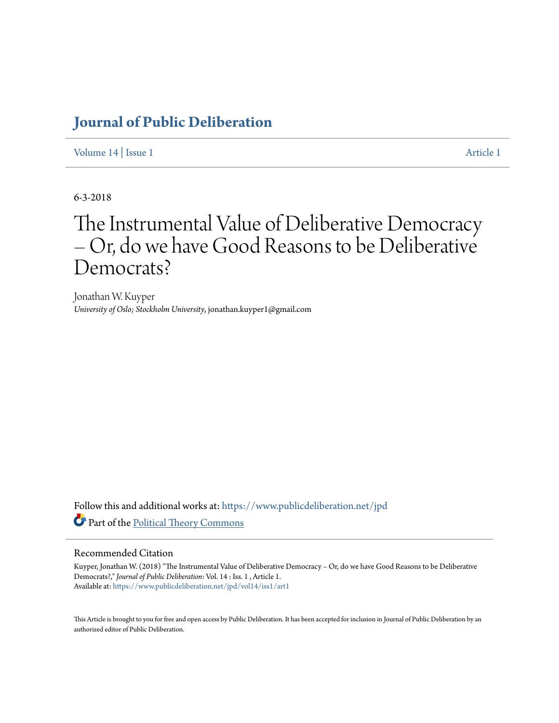# **[Journal of Public Deliberation](https://www.publicdeliberation.net/jpd?utm_source=www.publicdeliberation.net%2Fjpd%2Fvol14%2Fiss1%2Fart1&utm_medium=PDF&utm_campaign=PDFCoverPages)**

[Volume 14](https://www.publicdeliberation.net/jpd/vol14?utm_source=www.publicdeliberation.net%2Fjpd%2Fvol14%2Fiss1%2Fart1&utm_medium=PDF&utm_campaign=PDFCoverPages) | [Issue 1](https://www.publicdeliberation.net/jpd/vol14/iss1?utm_source=www.publicdeliberation.net%2Fjpd%2Fvol14%2Fiss1%2Fart1&utm_medium=PDF&utm_campaign=PDFCoverPages) [Article 1](https://www.publicdeliberation.net/jpd/vol14/iss1/art1?utm_source=www.publicdeliberation.net%2Fjpd%2Fvol14%2Fiss1%2Fart1&utm_medium=PDF&utm_campaign=PDFCoverPages)

6-3-2018

# The Instrumental Value of Deliberative Democracy – Or, do we have Good Reasons to be Deliberative Democrats?

Jonathan W. Kuyper *University of Oslo; Stockholm University*, jonathan.kuyper1@gmail.com

Follow this and additional works at: [https://www.publicdeliberation.net/jpd](https://www.publicdeliberation.net/jpd?utm_source=www.publicdeliberation.net%2Fjpd%2Fvol14%2Fiss1%2Fart1&utm_medium=PDF&utm_campaign=PDFCoverPages) Part of the [Political Theory Commons](http://network.bepress.com/hgg/discipline/391?utm_source=www.publicdeliberation.net%2Fjpd%2Fvol14%2Fiss1%2Fart1&utm_medium=PDF&utm_campaign=PDFCoverPages)

#### Recommended Citation

Kuyper, Jonathan W. (2018) "The Instrumental Value of Deliberative Democracy – Or, do we have Good Reasons to be Deliberative Democrats?," *Journal of Public Deliberation*: Vol. 14 : Iss. 1 , Article 1. Available at: [https://www.publicdeliberation.net/jpd/vol14/iss1/art1](https://www.publicdeliberation.net/jpd/vol14/iss1/art1?utm_source=www.publicdeliberation.net%2Fjpd%2Fvol14%2Fiss1%2Fart1&utm_medium=PDF&utm_campaign=PDFCoverPages)

This Article is brought to you for free and open access by Public Deliberation. It has been accepted for inclusion in Journal of Public Deliberation by an authorized editor of Public Deliberation.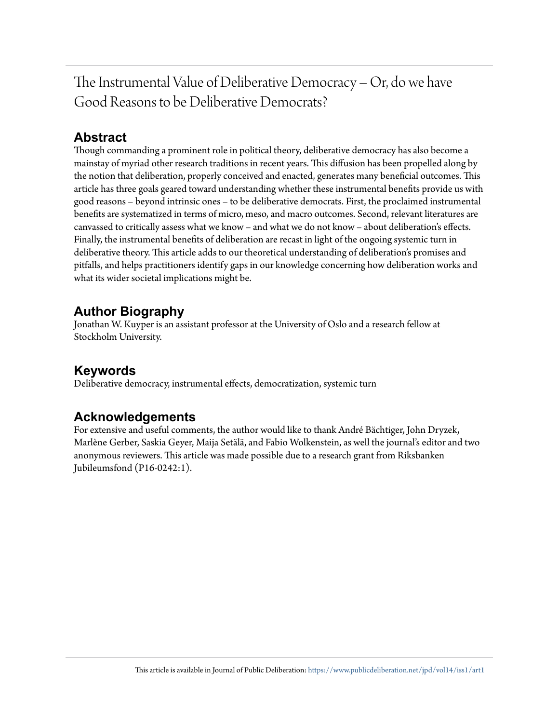The Instrumental Value of Deliberative Democracy – Or, do we have Good Reasons to be Deliberative Democrats?

# **Abstract**

Though commanding a prominent role in political theory, deliberative democracy has also become a mainstay of myriad other research traditions in recent years. This diffusion has been propelled along by the notion that deliberation, properly conceived and enacted, generates many beneficial outcomes. This article has three goals geared toward understanding whether these instrumental benefits provide us with good reasons – beyond intrinsic ones – to be deliberative democrats. First, the proclaimed instrumental benefits are systematized in terms of micro, meso, and macro outcomes. Second, relevant literatures are canvassed to critically assess what we know – and what we do not know – about deliberation's effects. Finally, the instrumental benefits of deliberation are recast in light of the ongoing systemic turn in deliberative theory. This article adds to our theoretical understanding of deliberation's promises and pitfalls, and helps practitioners identify gaps in our knowledge concerning how deliberation works and what its wider societal implications might be.

# **Author Biography**

Jonathan W. Kuyper is an assistant professor at the University of Oslo and a research fellow at Stockholm University.

# **Keywords**

Deliberative democracy, instrumental effects, democratization, systemic turn

# **Acknowledgements**

For extensive and useful comments, the author would like to thank André Bächtiger, John Dryzek, Marlène Gerber, Saskia Geyer, Maija Setälä, and Fabio Wolkenstein, as well the journal's editor and two anonymous reviewers. This article was made possible due to a research grant from Riksbanken Jubileumsfond (P16-0242:1).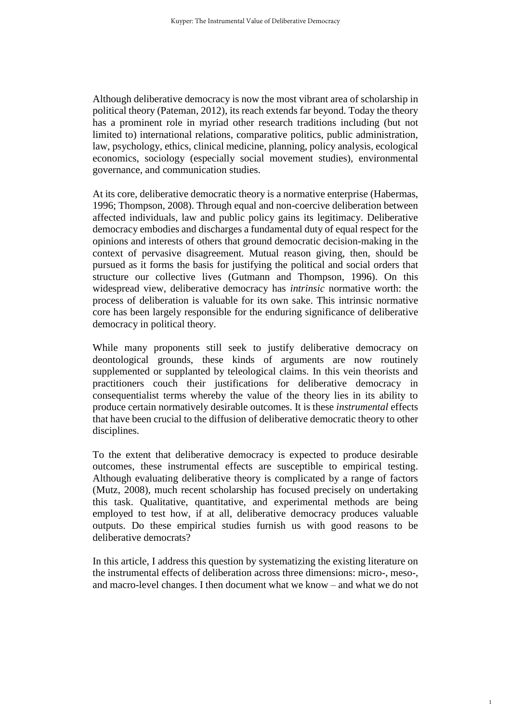Although deliberative democracy is now the most vibrant area of scholarship in political theory (Pateman, 2012), its reach extends far beyond. Today the theory has a prominent role in myriad other research traditions including (but not limited to) international relations, comparative politics, public administration, law, psychology, ethics, clinical medicine, planning, policy analysis, ecological economics, sociology (especially social movement studies), environmental governance, and communication studies.

At its core, deliberative democratic theory is a normative enterprise (Habermas, 1996; Thompson, 2008). Through equal and non-coercive deliberation between affected individuals, law and public policy gains its legitimacy. Deliberative democracy embodies and discharges a fundamental duty of equal respect for the opinions and interests of others that ground democratic decision-making in the context of pervasive disagreement. Mutual reason giving, then, should be pursued as it forms the basis for justifying the political and social orders that structure our collective lives (Gutmann and Thompson, 1996). On this widespread view, deliberative democracy has *intrinsic* normative worth: the process of deliberation is valuable for its own sake. This intrinsic normative core has been largely responsible for the enduring significance of deliberative democracy in political theory.

While many proponents still seek to justify deliberative democracy on deontological grounds, these kinds of arguments are now routinely supplemented or supplanted by teleological claims. In this vein theorists and practitioners couch their justifications for deliberative democracy in consequentialist terms whereby the value of the theory lies in its ability to produce certain normatively desirable outcomes. It is these *instrumental* effects that have been crucial to the diffusion of deliberative democratic theory to other disciplines.

To the extent that deliberative democracy is expected to produce desirable outcomes, these instrumental effects are susceptible to empirical testing. Although evaluating deliberative theory is complicated by a range of factors (Mutz, 2008), much recent scholarship has focused precisely on undertaking this task. Qualitative, quantitative, and experimental methods are being employed to test how, if at all, deliberative democracy produces valuable outputs. Do these empirical studies furnish us with good reasons to be deliberative democrats?

In this article, I address this question by systematizing the existing literature on the instrumental effects of deliberation across three dimensions: micro-, meso-, and macro-level changes. I then document what we know – and what we do not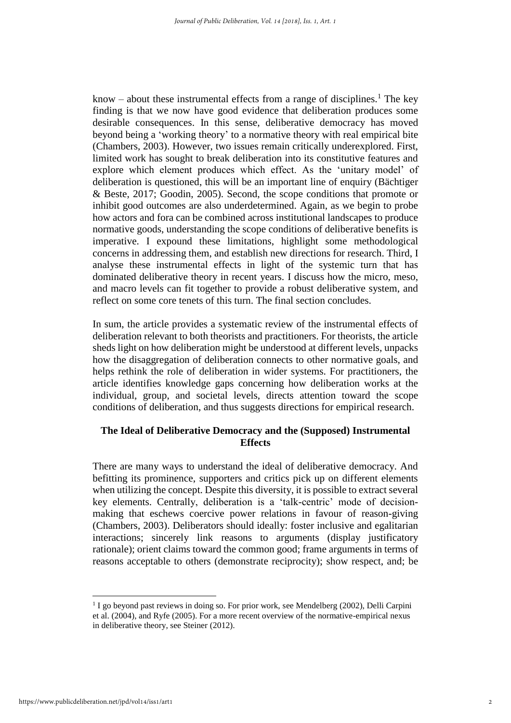know – about these instrumental effects from a range of disciplines.<sup>1</sup> The key finding is that we now have good evidence that deliberation produces some desirable consequences. In this sense, deliberative democracy has moved beyond being a 'working theory' to a normative theory with real empirical bite (Chambers, 2003). However, two issues remain critically underexplored. First, limited work has sought to break deliberation into its constitutive features and explore which element produces which effect. As the 'unitary model' of deliberation is questioned, this will be an important line of enquiry (Bächtiger & Beste, 2017; Goodin, 2005). Second, the scope conditions that promote or inhibit good outcomes are also underdetermined. Again, as we begin to probe how actors and fora can be combined across institutional landscapes to produce normative goods, understanding the scope conditions of deliberative benefits is imperative. I expound these limitations, highlight some methodological concerns in addressing them, and establish new directions for research. Third, I analyse these instrumental effects in light of the systemic turn that has dominated deliberative theory in recent years. I discuss how the micro, meso, and macro levels can fit together to provide a robust deliberative system, and reflect on some core tenets of this turn. The final section concludes.

In sum, the article provides a systematic review of the instrumental effects of deliberation relevant to both theorists and practitioners. For theorists, the article sheds light on how deliberation might be understood at different levels, unpacks how the disaggregation of deliberation connects to other normative goals, and helps rethink the role of deliberation in wider systems. For practitioners, the article identifies knowledge gaps concerning how deliberation works at the individual, group, and societal levels, directs attention toward the scope conditions of deliberation, and thus suggests directions for empirical research.

# **The Ideal of Deliberative Democracy and the (Supposed) Instrumental Effects**

There are many ways to understand the ideal of deliberative democracy. And befitting its prominence, supporters and critics pick up on different elements when utilizing the concept. Despite this diversity, it is possible to extract several key elements. Centrally, deliberation is a 'talk-centric' mode of decisionmaking that eschews coercive power relations in favour of reason-giving (Chambers, 2003). Deliberators should ideally: foster inclusive and egalitarian interactions; sincerely link reasons to arguments (display justificatory rationale); orient claims toward the common good; frame arguments in terms of reasons acceptable to others (demonstrate reciprocity); show respect, and; be

 $\overline{a}$ 

<sup>&</sup>lt;sup>1</sup> I go beyond past reviews in doing so. For prior work, see Mendelberg (2002), Delli Carpini et al. (2004), and Ryfe (2005). For a more recent overview of the normative-empirical nexus in deliberative theory, see Steiner (2012).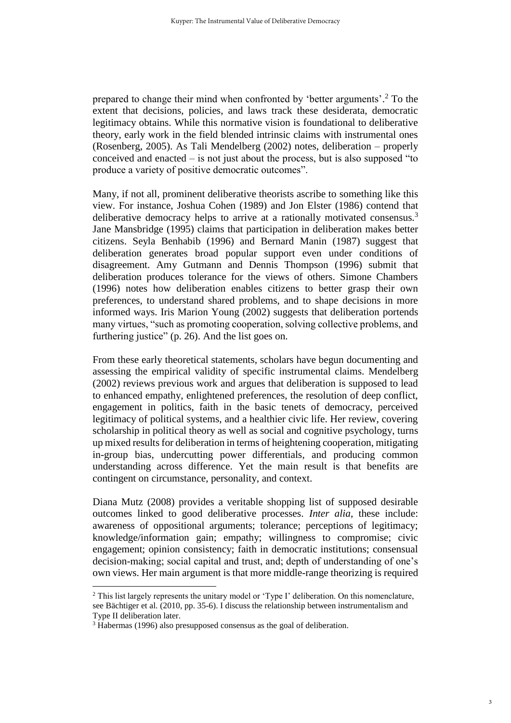prepared to change their mind when confronted by 'better arguments'. <sup>2</sup> To the extent that decisions, policies, and laws track these desiderata, democratic legitimacy obtains. While this normative vision is foundational to deliberative theory, early work in the field blended intrinsic claims with instrumental ones (Rosenberg, 2005). As Tali Mendelberg (2002) notes, deliberation – properly conceived and enacted – is not just about the process, but is also supposed "to produce a variety of positive democratic outcomes".

Many, if not all, prominent deliberative theorists ascribe to something like this view. For instance, Joshua Cohen (1989) and Jon Elster (1986) contend that deliberative democracy helps to arrive at a rationally motivated consensus.<sup>3</sup> Jane Mansbridge (1995) claims that participation in deliberation makes better citizens. Seyla Benhabib (1996) and Bernard Manin (1987) suggest that deliberation generates broad popular support even under conditions of disagreement. Amy Gutmann and Dennis Thompson (1996) submit that deliberation produces tolerance for the views of others. Simone Chambers (1996) notes how deliberation enables citizens to better grasp their own preferences, to understand shared problems, and to shape decisions in more informed ways. Iris Marion Young (2002) suggests that deliberation portends many virtues, "such as promoting cooperation, solving collective problems, and furthering justice" (p. 26). And the list goes on.

From these early theoretical statements, scholars have begun documenting and assessing the empirical validity of specific instrumental claims. Mendelberg (2002) reviews previous work and argues that deliberation is supposed to lead to enhanced empathy, enlightened preferences, the resolution of deep conflict, engagement in politics, faith in the basic tenets of democracy, perceived legitimacy of political systems, and a healthier civic life. Her review, covering scholarship in political theory as well as social and cognitive psychology, turns up mixed results for deliberation in terms of heightening cooperation, mitigating in-group bias, undercutting power differentials, and producing common understanding across difference. Yet the main result is that benefits are contingent on circumstance, personality, and context.

Diana Mutz (2008) provides a veritable shopping list of supposed desirable outcomes linked to good deliberative processes. *Inter alia*, these include: awareness of oppositional arguments; tolerance; perceptions of legitimacy; knowledge/information gain; empathy; willingness to compromise; civic engagement; opinion consistency; faith in democratic institutions; consensual decision-making; social capital and trust, and; depth of understanding of one's own views. Her main argument is that more middle-range theorizing is required

<sup>&</sup>lt;sup>2</sup> This list largely represents the unitary model or 'Type I' deliberation. On this nomenclature, see Bächtiger et al. (2010, pp. 35-6). I discuss the relationship between instrumentalism and Type II deliberation later.

<sup>&</sup>lt;sup>3</sup> Habermas (1996) also presupposed consensus as the goal of deliberation.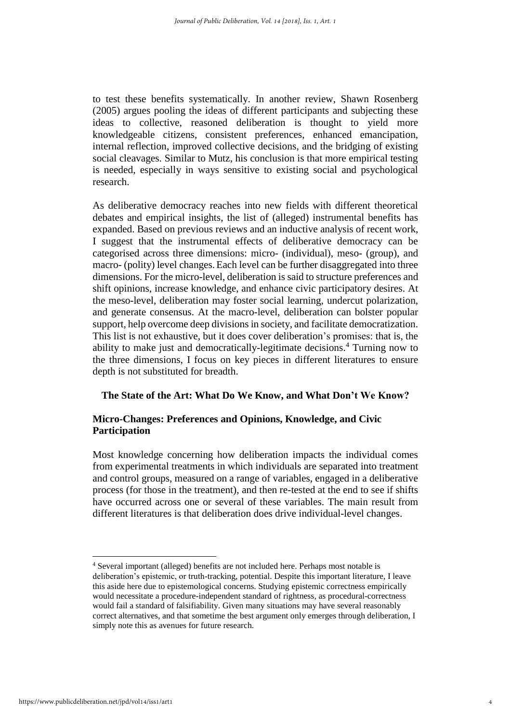to test these benefits systematically. In another review, Shawn Rosenberg (2005) argues pooling the ideas of different participants and subjecting these ideas to collective, reasoned deliberation is thought to yield more knowledgeable citizens, consistent preferences, enhanced emancipation, internal reflection, improved collective decisions, and the bridging of existing social cleavages. Similar to Mutz, his conclusion is that more empirical testing is needed, especially in ways sensitive to existing social and psychological research.

As deliberative democracy reaches into new fields with different theoretical debates and empirical insights, the list of (alleged) instrumental benefits has expanded. Based on previous reviews and an inductive analysis of recent work, I suggest that the instrumental effects of deliberative democracy can be categorised across three dimensions: micro- (individual), meso- (group), and macro- (polity) level changes.Each level can be further disaggregated into three dimensions. For the micro-level, deliberation is said to structure preferences and shift opinions, increase knowledge, and enhance civic participatory desires. At the meso-level, deliberation may foster social learning, undercut polarization, and generate consensus. At the macro-level, deliberation can bolster popular support, help overcome deep divisions in society, and facilitate democratization. This list is not exhaustive, but it does cover deliberation's promises: that is, the ability to make just and democratically-legitimate decisions. <sup>4</sup> Turning now to the three dimensions, I focus on key pieces in different literatures to ensure depth is not substituted for breadth.

#### **The State of the Art: What Do We Know, and What Don't We Know?**

### **Micro-Changes: Preferences and Opinions, Knowledge, and Civic Participation**

Most knowledge concerning how deliberation impacts the individual comes from experimental treatments in which individuals are separated into treatment and control groups, measured on a range of variables, engaged in a deliberative process (for those in the treatment), and then re-tested at the end to see if shifts have occurred across one or several of these variables. The main result from different literatures is that deliberation does drive individual-level changes.

<sup>4</sup> Several important (alleged) benefits are not included here. Perhaps most notable is deliberation's epistemic, or truth-tracking, potential. Despite this important literature, I leave this aside here due to epistemological concerns. Studying epistemic correctness empirically would necessitate a procedure-independent standard of rightness, as procedural-correctness would fail a standard of falsifiability. Given many situations may have several reasonably correct alternatives, and that sometime the best argument only emerges through deliberation, I simply note this as avenues for future research.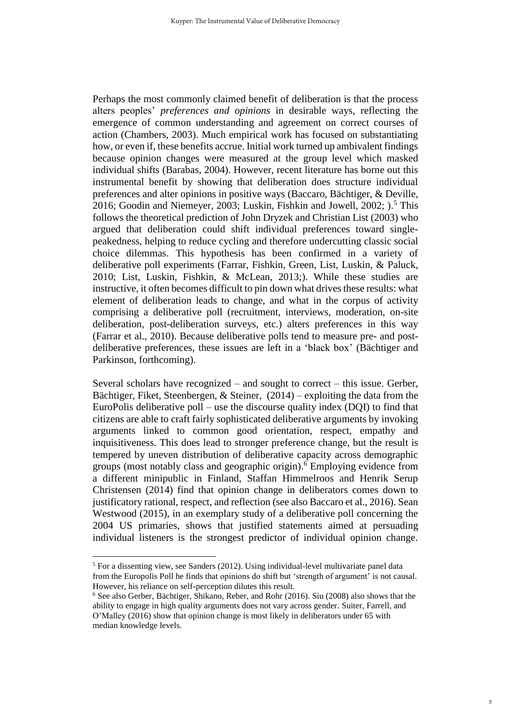Perhaps the most commonly claimed benefit of deliberation is that the process alters peoples' *preferences and opinions* in desirable ways, reflecting the emergence of common understanding and agreement on correct courses of action (Chambers, 2003). Much empirical work has focused on substantiating how, or even if, these benefits accrue. Initial work turned up ambivalent findings because opinion changes were measured at the group level which masked individual shifts (Barabas, 2004). However, recent literature has borne out this instrumental benefit by showing that deliberation does structure individual preferences and alter opinions in positive ways (Baccaro, Bächtiger, & Deville, 2016; Goodin and Niemeyer, 2003; Luskin, Fishkin and Jowell, 2002; ). <sup>5</sup> This follows the theoretical prediction of John Dryzek and Christian List (2003) who argued that deliberation could shift individual preferences toward singlepeakedness, helping to reduce cycling and therefore undercutting classic social choice dilemmas. This hypothesis has been confirmed in a variety of deliberative poll experiments (Farrar, Fishkin, Green, List, Luskin, & Paluck, 2010; List, Luskin, Fishkin, & McLean, 2013;). While these studies are instructive, it often becomes difficult to pin down what drives these results: what element of deliberation leads to change, and what in the corpus of activity comprising a deliberative poll (recruitment, interviews, moderation, on-site deliberation, post-deliberation surveys, etc.) alters preferences in this way (Farrar et al., 2010). Because deliberative polls tend to measure pre- and postdeliberative preferences, these issues are left in a 'black box' (Bächtiger and Parkinson, forthcoming).

Several scholars have recognized – and sought to correct – this issue. Gerber, Bächtiger, Fiket, Steenbergen, & Steiner, (2014) – exploiting the data from the EuroPolis deliberative poll – use the discourse quality index (DQI) to find that citizens are able to craft fairly sophisticated deliberative arguments by invoking arguments linked to common good orientation, respect, empathy and inquisitiveness. This does lead to stronger preference change, but the result is tempered by uneven distribution of deliberative capacity across demographic groups (most notably class and geographic origin).<sup>6</sup> Employing evidence from a different minipublic in Finland, Staffan Himmelroos and Henrik Serup Christensen (2014) find that opinion change in deliberators comes down to justificatory rational, respect, and reflection (see also Baccaro et al., 2016). Sean Westwood (2015), in an exemplary study of a deliberative poll concerning the 2004 US primaries, shows that justified statements aimed at persuading individual listeners is the strongest predictor of individual opinion change.

<sup>5</sup> For a dissenting view, see Sanders (2012). Using individual-level multivariate panel data from the Europolis Poll he finds that opinions do shift but 'strength of argument' is not causal. However, his reliance on self-perception dilutes this result.

<sup>6</sup> See also Gerber, Bächtiger, Shikano, Reber, and Rohr (2016). Siu (2008) also shows that the ability to engage in high quality arguments does not vary across gender. Suiter, Farrell, and O'Malley (2016) show that opinion change is most likely in deliberators under 65 with median knowledge levels.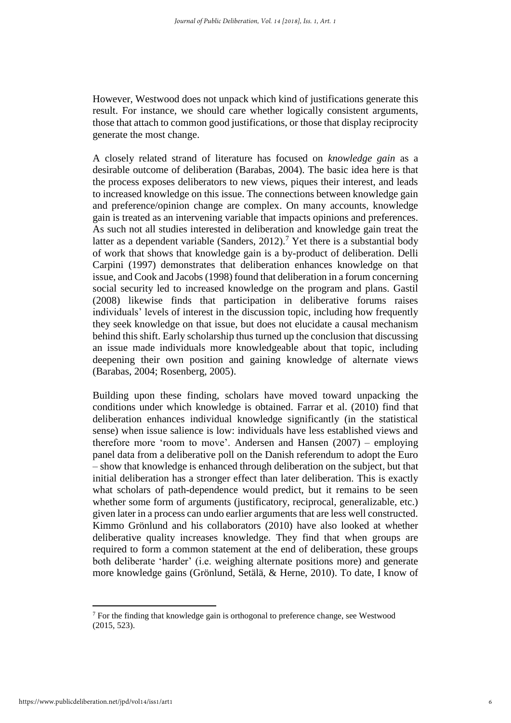However, Westwood does not unpack which kind of justifications generate this result. For instance, we should care whether logically consistent arguments, those that attach to common good justifications, or those that display reciprocity generate the most change.

A closely related strand of literature has focused on *knowledge gain* as a desirable outcome of deliberation (Barabas, 2004). The basic idea here is that the process exposes deliberators to new views, piques their interest, and leads to increased knowledge on this issue. The connections between knowledge gain and preference/opinion change are complex. On many accounts, knowledge gain is treated as an intervening variable that impacts opinions and preferences. As such not all studies interested in deliberation and knowledge gain treat the latter as a dependent variable (Sanders, 2012).<sup>7</sup> Yet there is a substantial body of work that shows that knowledge gain is a by-product of deliberation. Delli Carpini (1997) demonstrates that deliberation enhances knowledge on that issue, and Cook and Jacobs (1998) found that deliberation in a forum concerning social security led to increased knowledge on the program and plans. Gastil (2008) likewise finds that participation in deliberative forums raises individuals' levels of interest in the discussion topic, including how frequently they seek knowledge on that issue, but does not elucidate a causal mechanism behind this shift. Early scholarship thus turned up the conclusion that discussing an issue made individuals more knowledgeable about that topic, including deepening their own position and gaining knowledge of alternate views (Barabas, 2004; Rosenberg, 2005).

Building upon these finding, scholars have moved toward unpacking the conditions under which knowledge is obtained. Farrar et al. (2010) find that deliberation enhances individual knowledge significantly (in the statistical sense) when issue salience is low: individuals have less established views and therefore more 'room to move'. Andersen and Hansen (2007) – employing panel data from a deliberative poll on the Danish referendum to adopt the Euro – show that knowledge is enhanced through deliberation on the subject, but that initial deliberation has a stronger effect than later deliberation. This is exactly what scholars of path-dependence would predict, but it remains to be seen whether some form of arguments (justificatory, reciprocal, generalizable, etc.) given later in a process can undo earlier arguments that are less well constructed. Kimmo Grönlund and his collaborators (2010) have also looked at whether deliberative quality increases knowledge. They find that when groups are required to form a common statement at the end of deliberation, these groups both deliberate 'harder' (i.e. weighing alternate positions more) and generate more knowledge gains (Grönlund, Setälä, & Herne, 2010). To date, I know of

 $<sup>7</sup>$  For the finding that knowledge gain is orthogonal to preference change, see Westwood</sup> (2015, 523).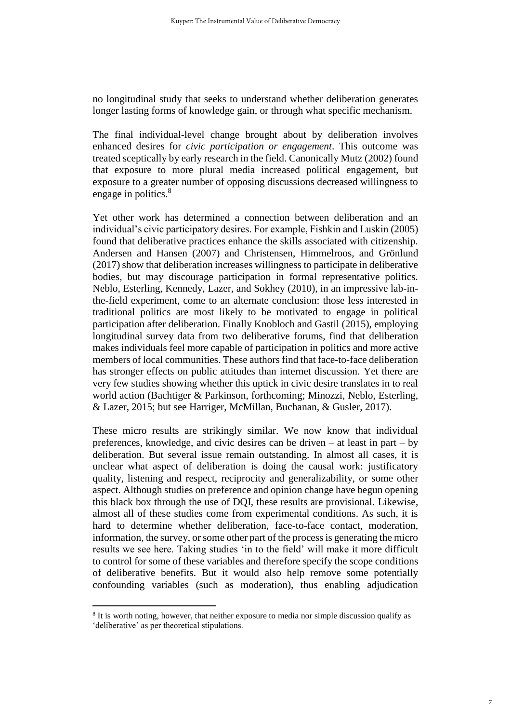no longitudinal study that seeks to understand whether deliberation generates longer lasting forms of knowledge gain, or through what specific mechanism.

The final individual-level change brought about by deliberation involves enhanced desires for *civic participation or engagement*. This outcome was treated sceptically by early research in the field. Canonically Mutz (2002) found that exposure to more plural media increased political engagement, but exposure to a greater number of opposing discussions decreased willingness to engage in politics.<sup>8</sup>

Yet other work has determined a connection between deliberation and an individual's civic participatory desires. For example, Fishkin and Luskin (2005) found that deliberative practices enhance the skills associated with citizenship. Andersen and Hansen (2007) and Christensen, Himmelroos, and Grönlund (2017) show that deliberation increases willingness to participate in deliberative bodies, but may discourage participation in formal representative politics. Neblo, Esterling, Kennedy, Lazer, and Sokhey (2010), in an impressive lab-inthe-field experiment, come to an alternate conclusion: those less interested in traditional politics are most likely to be motivated to engage in political participation after deliberation. Finally Knobloch and Gastil (2015), employing longitudinal survey data from two deliberative forums, find that deliberation makes individuals feel more capable of participation in politics and more active members of local communities. These authors find that face-to-face deliberation has stronger effects on public attitudes than internet discussion. Yet there are very few studies showing whether this uptick in civic desire translates in to real world action (Bachtiger & Parkinson, forthcoming; Minozzi, Neblo, Esterling, & Lazer, 2015; but see Harriger, McMillan, Buchanan, & Gusler, 2017).

These micro results are strikingly similar. We now know that individual preferences, knowledge, and civic desires can be driven – at least in part – by deliberation. But several issue remain outstanding. In almost all cases, it is unclear what aspect of deliberation is doing the causal work: justificatory quality, listening and respect, reciprocity and generalizability, or some other aspect. Although studies on preference and opinion change have begun opening this black box through the use of DQI, these results are provisional. Likewise, almost all of these studies come from experimental conditions. As such, it is hard to determine whether deliberation, face-to-face contact, moderation, information, the survey, or some other part of the process is generating the micro results we see here. Taking studies 'in to the field' will make it more difficult to control for some of these variables and therefore specify the scope conditions of deliberative benefits. But it would also help remove some potentially confounding variables (such as moderation), thus enabling adjudication

<sup>&</sup>lt;sup>8</sup> It is worth noting, however, that neither exposure to media nor simple discussion qualify as 'deliberative' as per theoretical stipulations.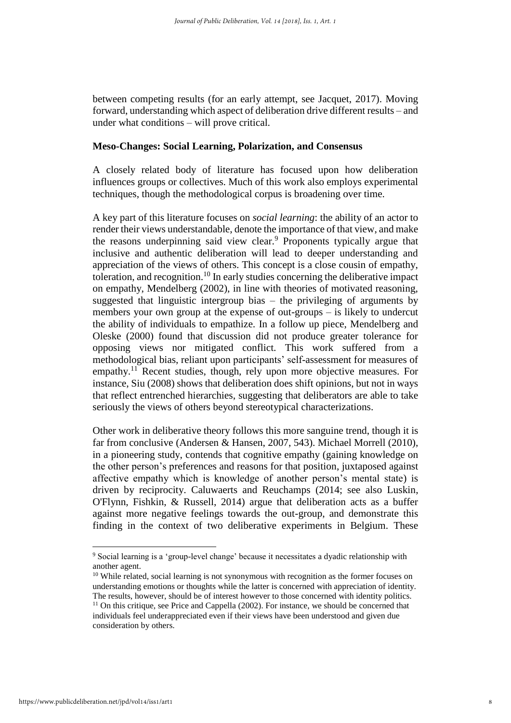between competing results (for an early attempt, see Jacquet, 2017). Moving forward, understanding which aspect of deliberation drive different results – and under what conditions – will prove critical.

#### **Meso-Changes: Social Learning, Polarization, and Consensus**

A closely related body of literature has focused upon how deliberation influences groups or collectives. Much of this work also employs experimental techniques, though the methodological corpus is broadening over time.

A key part of this literature focuses on *social learning*: the ability of an actor to render their views understandable, denote the importance of that view, and make the reasons underpinning said view clear.<sup>9</sup> Proponents typically argue that inclusive and authentic deliberation will lead to deeper understanding and appreciation of the views of others. This concept is a close cousin of empathy, toleration, and recognition.<sup>10</sup> In early studies concerning the deliberative impact on empathy, Mendelberg (2002), in line with theories of motivated reasoning, suggested that linguistic intergroup bias – the privileging of arguments by members your own group at the expense of out-groups – is likely to undercut the ability of individuals to empathize. In a follow up piece, Mendelberg and Oleske (2000) found that discussion did not produce greater tolerance for opposing views nor mitigated conflict. This work suffered from a methodological bias, reliant upon participants' self-assessment for measures of empathy.<sup>11</sup> Recent studies, though, rely upon more objective measures. For instance, Siu (2008) shows that deliberation does shift opinions, but not in ways that reflect entrenched hierarchies, suggesting that deliberators are able to take seriously the views of others beyond stereotypical characterizations.

Other work in deliberative theory follows this more sanguine trend, though it is far from conclusive (Andersen & Hansen, 2007, 543). Michael Morrell (2010), in a pioneering study, contends that cognitive empathy (gaining knowledge on the other person's preferences and reasons for that position, juxtaposed against affective empathy which is knowledge of another person's mental state) is driven by reciprocity. Caluwaerts and Reuchamps (2014; see also Luskin, O'Flynn, Fishkin, & Russell, 2014) argue that deliberation acts as a buffer against more negative feelings towards the out-group, and demonstrate this finding in the context of two deliberative experiments in Belgium. These

<sup>&</sup>lt;sup>9</sup> Social learning is a 'group-level change' because it necessitates a dyadic relationship with another agent.

<sup>&</sup>lt;sup>10</sup> While related, social learning is not synonymous with recognition as the former focuses on understanding emotions or thoughts while the latter is concerned with appreciation of identity. The results, however, should be of interest however to those concerned with identity politics.  $11$  On this critique, see Price and Cappella (2002). For instance, we should be concerned that

individuals feel underappreciated even if their views have been understood and given due consideration by others.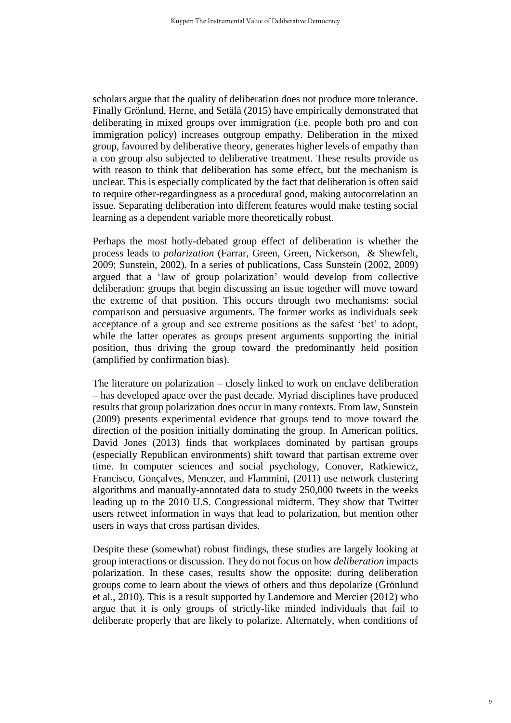scholars argue that the quality of deliberation does not produce more tolerance. Finally Grönlund, Herne, and Setälä (2015) have empirically demonstrated that deliberating in mixed groups over immigration (i.e. people both pro and con immigration policy) increases outgroup empathy. Deliberation in the mixed group, favoured by deliberative theory, generates higher levels of empathy than a con group also subjected to deliberative treatment. These results provide us with reason to think that deliberation has some effect, but the mechanism is unclear. This is especially complicated by the fact that deliberation is often said to require other-regardingness as a procedural good, making autocorrelation an issue. Separating deliberation into different features would make testing social learning as a dependent variable more theoretically robust.

Perhaps the most hotly-debated group effect of deliberation is whether the process leads to *polarization* (Farrar, Green, Green, Nickerson, & Shewfelt, 2009; Sunstein, 2002). In a series of publications, Cass Sunstein (2002, 2009) argued that a 'law of group polarization' would develop from collective deliberation: groups that begin discussing an issue together will move toward the extreme of that position. This occurs through two mechanisms: social comparison and persuasive arguments. The former works as individuals seek acceptance of a group and see extreme positions as the safest 'bet' to adopt, while the latter operates as groups present arguments supporting the initial position, thus driving the group toward the predominantly held position (amplified by confirmation bias).

The literature on polarization – closely linked to work on enclave deliberation – has developed apace over the past decade. Myriad disciplines have produced results that group polarization does occur in many contexts. From law, Sunstein (2009) presents experimental evidence that groups tend to move toward the direction of the position initially dominating the group. In American politics, David Jones (2013) finds that workplaces dominated by partisan groups (especially Republican environments) shift toward that partisan extreme over time. In computer sciences and social psychology, Conover, Ratkiewicz, Francisco, Gonçalves, Menczer, and Flammini, (2011) use network clustering algorithms and manually-annotated data to study 250,000 tweets in the weeks leading up to the 2010 U.S. Congressional midterm. They show that Twitter users retweet information in ways that lead to polarization, but mention other users in ways that cross partisan divides.

Despite these (somewhat) robust findings, these studies are largely looking at group interactions or discussion. They do not focus on how *deliberation* impacts polarization. In these cases, results show the opposite: during deliberation groups come to learn about the views of others and thus depolarize (Grönlund et al., 2010). This is a result supported by Landemore and Mercier (2012) who argue that it is only groups of strictly-like minded individuals that fail to deliberate properly that are likely to polarize. Alternately, when conditions of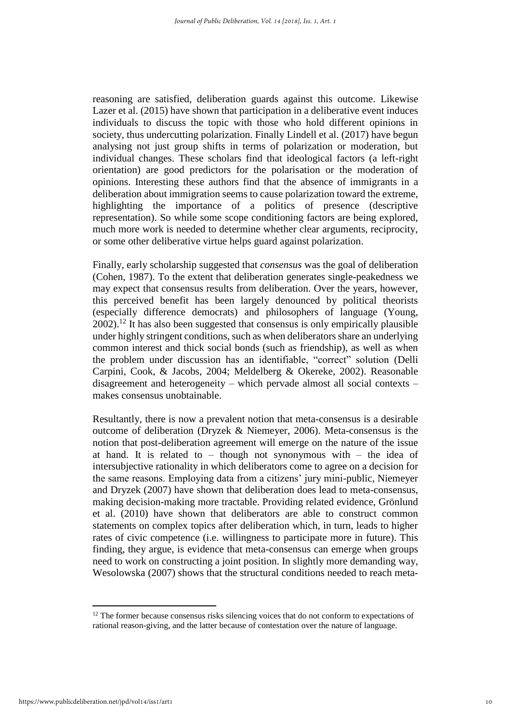reasoning are satisfied, deliberation guards against this outcome. Likewise Lazer et al. (2015) have shown that participation in a deliberative event induces individuals to discuss the topic with those who hold different opinions in society, thus undercutting polarization. Finally Lindell et al. (2017) have begun analysing not just group shifts in terms of polarization or moderation, but individual changes. These scholars find that ideological factors (a left-right orientation) are good predictors for the polarisation or the moderation of opinions. Interesting these authors find that the absence of immigrants in a deliberation about immigration seems to cause polarization toward the extreme, highlighting the importance of a politics of presence (descriptive representation). So while some scope conditioning factors are being explored, much more work is needed to determine whether clear arguments, reciprocity, or some other deliberative virtue helps guard against polarization.

Finally, early scholarship suggested that *consensus* was the goal of deliberation (Cohen, 1987). To the extent that deliberation generates single-peakedness we may expect that consensus results from deliberation. Over the years, however, this perceived benefit has been largely denounced by political theorists (especially difference democrats) and philosophers of language (Young,  $2002$ ).<sup>12</sup> It has also been suggested that consensus is only empirically plausible under highly stringent conditions, such as when deliberators share an underlying common interest and thick social bonds (such as friendship), as well as when the problem under discussion has an identifiable, "correct" solution (Delli Carpini, Cook, & Jacobs, 2004; Meldelberg & Okereke, 2002). Reasonable disagreement and heterogeneity – which pervade almost all social contexts – makes consensus unobtainable.

Resultantly, there is now a prevalent notion that meta-consensus is a desirable outcome of deliberation (Dryzek & Niemeyer, 2006). Meta-consensus is the notion that post-deliberation agreement will emerge on the nature of the issue at hand. It is related to – though not synonymous with – the idea of intersubjective rationality in which deliberators come to agree on a decision for the same reasons. Employing data from a citizens' jury mini-public, Niemeyer and Dryzek (2007) have shown that deliberation does lead to meta-consensus, making decision-making more tractable. Providing related evidence, Grönlund et al. (2010) have shown that deliberators are able to construct common statements on complex topics after deliberation which, in turn, leads to higher rates of civic competence (i.e. willingness to participate more in future). This finding, they argue, is evidence that meta-consensus can emerge when groups need to work on constructing a joint position. In slightly more demanding way, Wesolowska (2007) shows that the structural conditions needed to reach meta-

 $12$  The former because consensus risks silencing voices that do not conform to expectations of rational reason-giving, and the latter because of contestation over the nature of language.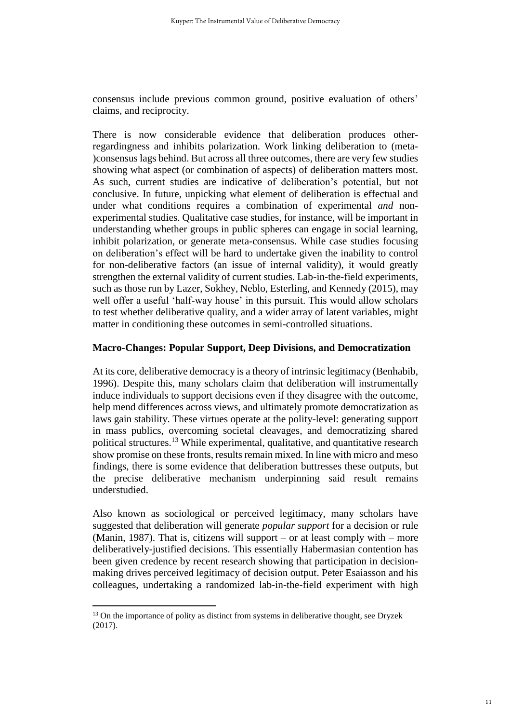consensus include previous common ground, positive evaluation of others' claims, and reciprocity.

There is now considerable evidence that deliberation produces otherregardingness and inhibits polarization. Work linking deliberation to (meta- )consensus lags behind. But across all three outcomes, there are very few studies showing what aspect (or combination of aspects) of deliberation matters most. As such, current studies are indicative of deliberation's potential, but not conclusive. In future, unpicking what element of deliberation is effectual and under what conditions requires a combination of experimental *and* nonexperimental studies. Qualitative case studies, for instance, will be important in understanding whether groups in public spheres can engage in social learning, inhibit polarization, or generate meta-consensus. While case studies focusing on deliberation's effect will be hard to undertake given the inability to control for non-deliberative factors (an issue of internal validity), it would greatly strengthen the external validity of current studies. Lab-in-the-field experiments, such as those run by Lazer, Sokhey, Neblo, Esterling, and Kennedy (2015), may well offer a useful 'half-way house' in this pursuit. This would allow scholars to test whether deliberative quality, and a wider array of latent variables, might matter in conditioning these outcomes in semi-controlled situations.

### **Macro-Changes: Popular Support, Deep Divisions, and Democratization**

At its core, deliberative democracy is a theory of intrinsic legitimacy (Benhabib, 1996). Despite this, many scholars claim that deliberation will instrumentally induce individuals to support decisions even if they disagree with the outcome, help mend differences across views, and ultimately promote democratization as laws gain stability. These virtues operate at the polity-level: generating support in mass publics, overcoming societal cleavages, and democratizing shared political structures.<sup>13</sup> While experimental, qualitative, and quantitative research show promise on these fronts, results remain mixed. In line with micro and meso findings, there is some evidence that deliberation buttresses these outputs, but the precise deliberative mechanism underpinning said result remains understudied.

Also known as sociological or perceived legitimacy, many scholars have suggested that deliberation will generate *popular support* for a decision or rule (Manin, 1987). That is, citizens will support – or at least comply with – more deliberatively-justified decisions. This essentially Habermasian contention has been given credence by recent research showing that participation in decisionmaking drives perceived legitimacy of decision output. Peter Esaiasson and his colleagues, undertaking a randomized lab-in-the-field experiment with high

 $13$  On the importance of polity as distinct from systems in deliberative thought, see Dryzek (2017).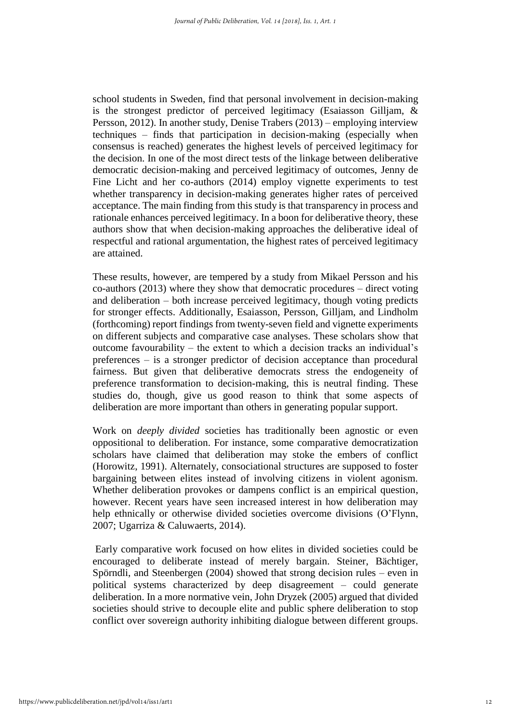school students in Sweden, find that personal involvement in decision-making is the strongest predictor of perceived legitimacy (Esaiasson Gilljam, & Persson, 2012). In another study, Denise Trabers (2013) – employing interview techniques – finds that participation in decision-making (especially when consensus is reached) generates the highest levels of perceived legitimacy for the decision. In one of the most direct tests of the linkage between deliberative democratic decision-making and perceived legitimacy of outcomes, Jenny de Fine Licht and her co-authors (2014) employ vignette experiments to test whether transparency in decision-making generates higher rates of perceived acceptance. The main finding from this study is that transparency in process and rationale enhances perceived legitimacy. In a boon for deliberative theory, these authors show that when decision-making approaches the deliberative ideal of respectful and rational argumentation, the highest rates of perceived legitimacy are attained.

These results, however, are tempered by a study from Mikael Persson and his co-authors (2013) where they show that democratic procedures – direct voting and deliberation – both increase perceived legitimacy, though voting predicts for stronger effects. Additionally, Esaiasson, Persson, Gilljam, and Lindholm (forthcoming) report findings from twenty-seven field and vignette experiments on different subjects and comparative case analyses. These scholars show that outcome favourability – the extent to which a decision tracks an individual's preferences – is a stronger predictor of decision acceptance than procedural fairness. But given that deliberative democrats stress the endogeneity of preference transformation to decision-making, this is neutral finding. These studies do, though, give us good reason to think that some aspects of deliberation are more important than others in generating popular support.

Work on *deeply divided* societies has traditionally been agnostic or even oppositional to deliberation. For instance, some comparative democratization scholars have claimed that deliberation may stoke the embers of conflict (Horowitz, 1991). Alternately, consociational structures are supposed to foster bargaining between elites instead of involving citizens in violent agonism. Whether deliberation provokes or dampens conflict is an empirical question, however. Recent years have seen increased interest in how deliberation may help ethnically or otherwise divided societies overcome divisions (O'Flynn, 2007; Ugarriza & Caluwaerts, 2014).

Early comparative work focused on how elites in divided societies could be encouraged to deliberate instead of merely bargain. Steiner, Bächtiger, Spörndli, and Steenbergen (2004) showed that strong decision rules – even in political systems characterized by deep disagreement – could generate deliberation. In a more normative vein, John Dryzek (2005) argued that divided societies should strive to decouple elite and public sphere deliberation to stop conflict over sovereign authority inhibiting dialogue between different groups.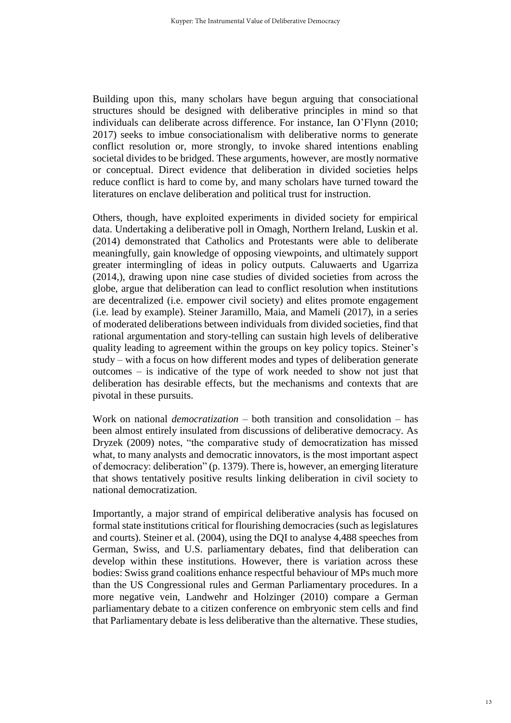Building upon this, many scholars have begun arguing that consociational structures should be designed with deliberative principles in mind so that individuals can deliberate across difference. For instance, Ian O'Flynn (2010; 2017) seeks to imbue consociationalism with deliberative norms to generate conflict resolution or, more strongly, to invoke shared intentions enabling societal divides to be bridged. These arguments, however, are mostly normative or conceptual. Direct evidence that deliberation in divided societies helps reduce conflict is hard to come by, and many scholars have turned toward the literatures on enclave deliberation and political trust for instruction.

Others, though, have exploited experiments in divided society for empirical data. Undertaking a deliberative poll in Omagh, Northern Ireland, Luskin et al. (2014) demonstrated that Catholics and Protestants were able to deliberate meaningfully, gain knowledge of opposing viewpoints, and ultimately support greater intermingling of ideas in policy outputs. Caluwaerts and Ugarriza (2014,), drawing upon nine case studies of divided societies from across the globe, argue that deliberation can lead to conflict resolution when institutions are decentralized (i.e. empower civil society) and elites promote engagement (i.e. lead by example). Steiner Jaramillo, Maia, and Mameli (2017), in a series of moderated deliberations between individuals from divided societies, find that rational argumentation and story-telling can sustain high levels of deliberative quality leading to agreement within the groups on key policy topics. Steiner's study – with a focus on how different modes and types of deliberation generate outcomes – is indicative of the type of work needed to show not just that deliberation has desirable effects, but the mechanisms and contexts that are pivotal in these pursuits.

Work on national *democratization* – both transition and consolidation – has been almost entirely insulated from discussions of deliberative democracy. As Dryzek (2009) notes, "the comparative study of democratization has missed what, to many analysts and democratic innovators, is the most important aspect of democracy: deliberation" (p. 1379). There is, however, an emerging literature that shows tentatively positive results linking deliberation in civil society to national democratization.

Importantly, a major strand of empirical deliberative analysis has focused on formal state institutions critical for flourishing democracies (such as legislatures and courts). Steiner et al. (2004), using the DQI to analyse 4,488 speeches from German, Swiss, and U.S. parliamentary debates, find that deliberation can develop within these institutions. However, there is variation across these bodies: Swiss grand coalitions enhance respectful behaviour of MPs much more than the US Congressional rules and German Parliamentary procedures. In a more negative vein, Landwehr and Holzinger (2010) compare a German parliamentary debate to a citizen conference on embryonic stem cells and find that Parliamentary debate is less deliberative than the alternative. These studies,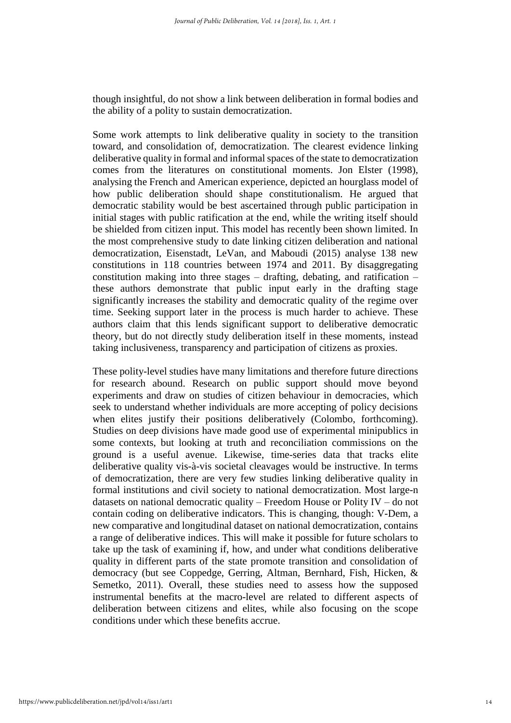though insightful, do not show a link between deliberation in formal bodies and the ability of a polity to sustain democratization.

Some work attempts to link deliberative quality in society to the transition toward, and consolidation of, democratization. The clearest evidence linking deliberative quality in formal and informal spaces of the state to democratization comes from the literatures on constitutional moments. Jon Elster (1998), analysing the French and American experience, depicted an hourglass model of how public deliberation should shape constitutionalism. He argued that democratic stability would be best ascertained through public participation in initial stages with public ratification at the end, while the writing itself should be shielded from citizen input. This model has recently been shown limited. In the most comprehensive study to date linking citizen deliberation and national democratization, Eisenstadt, LeVan, and Maboudi (2015) analyse 138 new constitutions in 118 countries between 1974 and 2011. By disaggregating constitution making into three stages – drafting, debating, and ratification – these authors demonstrate that public input early in the drafting stage significantly increases the stability and democratic quality of the regime over time. Seeking support later in the process is much harder to achieve. These authors claim that this lends significant support to deliberative democratic theory, but do not directly study deliberation itself in these moments, instead taking inclusiveness, transparency and participation of citizens as proxies.

These polity-level studies have many limitations and therefore future directions for research abound. Research on public support should move beyond experiments and draw on studies of citizen behaviour in democracies, which seek to understand whether individuals are more accepting of policy decisions when elites justify their positions deliberatively (Colombo, forthcoming). Studies on deep divisions have made good use of experimental minipublics in some contexts, but looking at truth and reconciliation commissions on the ground is a useful avenue. Likewise, time-series data that tracks elite deliberative quality vis-à-vis societal cleavages would be instructive. In terms of democratization, there are very few studies linking deliberative quality in formal institutions and civil society to national democratization. Most large-n datasets on national democratic quality – Freedom House or Polity IV – do not contain coding on deliberative indicators. This is changing, though: V-Dem, a new comparative and longitudinal dataset on national democratization, contains a range of deliberative indices. This will make it possible for future scholars to take up the task of examining if, how, and under what conditions deliberative quality in different parts of the state promote transition and consolidation of democracy (but see Coppedge, Gerring, Altman, Bernhard, Fish, Hicken, & Semetko, 2011). Overall, these studies need to assess how the supposed instrumental benefits at the macro-level are related to different aspects of deliberation between citizens and elites, while also focusing on the scope conditions under which these benefits accrue.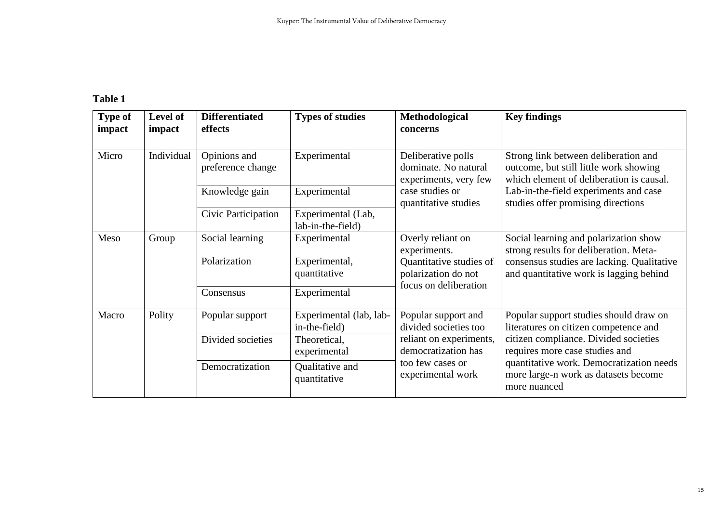# **Table 1**

| <b>Type of</b><br>impact | Level of<br>impact | <b>Differentiated</b><br>effects  | <b>Types of studies</b>                  | Methodological<br>concerns                                                                                                                                                                      | <b>Key findings</b>                                                                                                                                                                                                                                            |
|--------------------------|--------------------|-----------------------------------|------------------------------------------|-------------------------------------------------------------------------------------------------------------------------------------------------------------------------------------------------|----------------------------------------------------------------------------------------------------------------------------------------------------------------------------------------------------------------------------------------------------------------|
| Micro                    | Individual         | Opinions and<br>preference change | Experimental                             | Deliberative polls<br>dominate. No natural<br>experiments, very few<br>case studies or<br>quantitative studies                                                                                  | Strong link between deliberation and<br>outcome, but still little work showing<br>which element of deliberation is causal.<br>Lab-in-the-field experiments and case<br>studies offer promising directions                                                      |
|                          |                    | Knowledge gain                    | Experimental                             |                                                                                                                                                                                                 |                                                                                                                                                                                                                                                                |
|                          |                    | Civic Participation               | Experimental (Lab,<br>lab-in-the-field)  |                                                                                                                                                                                                 |                                                                                                                                                                                                                                                                |
| Meso                     | Group              | Social learning                   | Experimental                             | Overly reliant on<br>Social learning and polarization show<br>strong results for deliberation. Meta-<br>experiments.<br>Quantitative studies of<br>polarization do not<br>focus on deliberation |                                                                                                                                                                                                                                                                |
|                          |                    | Polarization                      | Experimental,<br>quantitative            |                                                                                                                                                                                                 | consensus studies are lacking. Qualitative<br>and quantitative work is lagging behind                                                                                                                                                                          |
|                          |                    | Consensus                         | Experimental                             |                                                                                                                                                                                                 |                                                                                                                                                                                                                                                                |
| Macro                    | Polity             | Popular support                   | Experimental (lab, lab-<br>in-the-field) | Popular support and<br>divided societies too<br>reliant on experiments,<br>democratization has<br>too few cases or<br>experimental work                                                         | Popular support studies should draw on<br>literatures on citizen competence and<br>citizen compliance. Divided societies<br>requires more case studies and<br>quantitative work. Democratization needs<br>more large-n work as datasets become<br>more nuanced |
|                          |                    | Divided societies                 | Theoretical,<br>experimental             |                                                                                                                                                                                                 |                                                                                                                                                                                                                                                                |
|                          |                    | Democratization                   | Qualitative and<br>quantitative          |                                                                                                                                                                                                 |                                                                                                                                                                                                                                                                |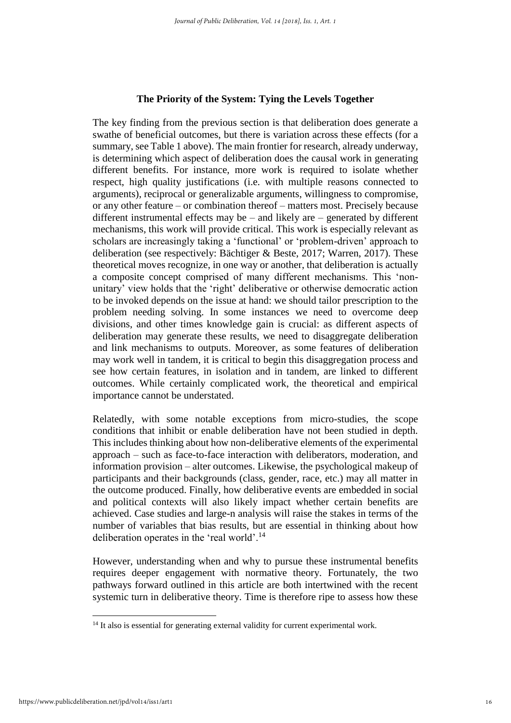### **The Priority of the System: Tying the Levels Together**

The key finding from the previous section is that deliberation does generate a swathe of beneficial outcomes, but there is variation across these effects (for a summary, see Table 1 above). The main frontier for research, already underway, is determining which aspect of deliberation does the causal work in generating different benefits. For instance, more work is required to isolate whether respect, high quality justifications (i.e. with multiple reasons connected to arguments), reciprocal or generalizable arguments, willingness to compromise, or any other feature – or combination thereof – matters most. Precisely because different instrumental effects may be – and likely are – generated by different mechanisms, this work will provide critical. This work is especially relevant as scholars are increasingly taking a 'functional' or 'problem-driven' approach to deliberation (see respectively: Bächtiger & Beste, 2017; Warren, 2017). These theoretical moves recognize, in one way or another, that deliberation is actually a composite concept comprised of many different mechanisms. This 'nonunitary' view holds that the 'right' deliberative or otherwise democratic action to be invoked depends on the issue at hand: we should tailor prescription to the problem needing solving. In some instances we need to overcome deep divisions, and other times knowledge gain is crucial: as different aspects of deliberation may generate these results, we need to disaggregate deliberation and link mechanisms to outputs. Moreover, as some features of deliberation may work well in tandem, it is critical to begin this disaggregation process and see how certain features, in isolation and in tandem, are linked to different outcomes. While certainly complicated work, the theoretical and empirical importance cannot be understated.

Relatedly, with some notable exceptions from micro-studies, the scope conditions that inhibit or enable deliberation have not been studied in depth. This includes thinking about how non-deliberative elements of the experimental approach – such as face-to-face interaction with deliberators, moderation, and information provision – alter outcomes. Likewise, the psychological makeup of participants and their backgrounds (class, gender, race, etc.) may all matter in the outcome produced. Finally, how deliberative events are embedded in social and political contexts will also likely impact whether certain benefits are achieved. Case studies and large-n analysis will raise the stakes in terms of the number of variables that bias results, but are essential in thinking about how deliberation operates in the 'real world'.<sup>14</sup>

However, understanding when and why to pursue these instrumental benefits requires deeper engagement with normative theory. Fortunately, the two pathways forward outlined in this article are both intertwined with the recent systemic turn in deliberative theory. Time is therefore ripe to assess how these

<sup>&</sup>lt;sup>14</sup> It also is essential for generating external validity for current experimental work.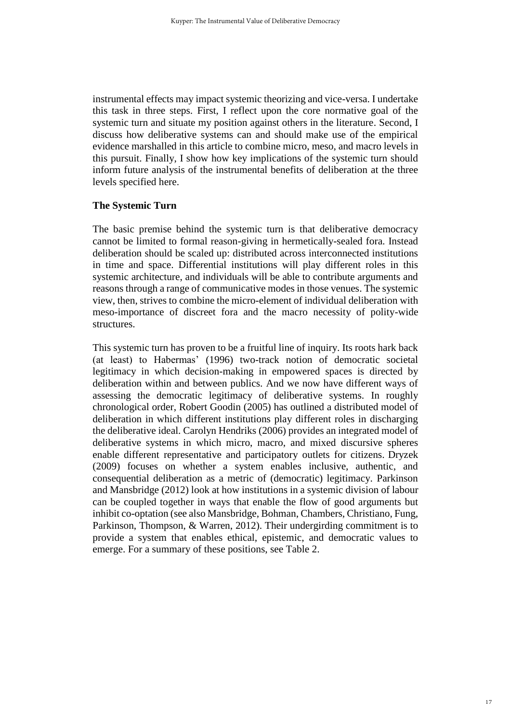instrumental effects may impact systemic theorizing and vice-versa. I undertake this task in three steps. First, I reflect upon the core normative goal of the systemic turn and situate my position against others in the literature. Second, I discuss how deliberative systems can and should make use of the empirical evidence marshalled in this article to combine micro, meso, and macro levels in this pursuit. Finally, I show how key implications of the systemic turn should inform future analysis of the instrumental benefits of deliberation at the three levels specified here.

### **The Systemic Turn**

The basic premise behind the systemic turn is that deliberative democracy cannot be limited to formal reason-giving in hermetically-sealed fora. Instead deliberation should be scaled up: distributed across interconnected institutions in time and space. Differential institutions will play different roles in this systemic architecture, and individuals will be able to contribute arguments and reasons through a range of communicative modes in those venues. The systemic view, then, strives to combine the micro-element of individual deliberation with meso-importance of discreet fora and the macro necessity of polity-wide structures.

This systemic turn has proven to be a fruitful line of inquiry. Its roots hark back (at least) to Habermas' (1996) two-track notion of democratic societal legitimacy in which decision-making in empowered spaces is directed by deliberation within and between publics. And we now have different ways of assessing the democratic legitimacy of deliberative systems. In roughly chronological order, Robert Goodin (2005) has outlined a distributed model of deliberation in which different institutions play different roles in discharging the deliberative ideal. Carolyn Hendriks (2006) provides an integrated model of deliberative systems in which micro, macro, and mixed discursive spheres enable different representative and participatory outlets for citizens. Dryzek (2009) focuses on whether a system enables inclusive, authentic, and consequential deliberation as a metric of (democratic) legitimacy. Parkinson and Mansbridge (2012) look at how institutions in a systemic division of labour can be coupled together in ways that enable the flow of good arguments but inhibit co-optation (see also Mansbridge, Bohman, Chambers, Christiano, Fung, Parkinson, Thompson, & Warren, 2012). Their undergirding commitment is to provide a system that enables ethical, epistemic, and democratic values to emerge. For a summary of these positions, see Table 2.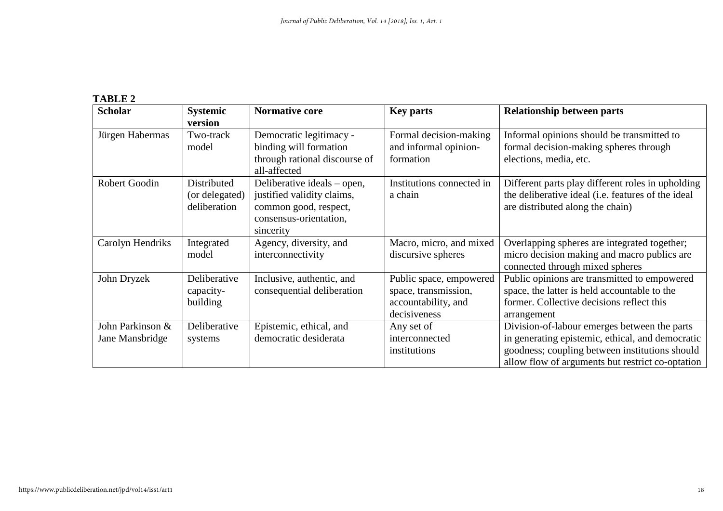# **TABLE 2**

| <b>Scholar</b>                      | <b>Systemic</b><br>version                    | <b>Normative core</b>                                                                                                     | <b>Key parts</b>                                                                       | <b>Relationship between parts</b>                                                                                                                                                                      |
|-------------------------------------|-----------------------------------------------|---------------------------------------------------------------------------------------------------------------------------|----------------------------------------------------------------------------------------|--------------------------------------------------------------------------------------------------------------------------------------------------------------------------------------------------------|
| Jürgen Habermas                     | Two-track<br>model                            | Democratic legitimacy -<br>binding will formation<br>through rational discourse of<br>all-affected                        | Formal decision-making<br>and informal opinion-<br>formation                           | Informal opinions should be transmitted to<br>formal decision-making spheres through<br>elections, media, etc.                                                                                         |
| Robert Goodin                       | Distributed<br>(or delegated)<br>deliberation | Deliberative ideals – open,<br>justified validity claims,<br>common good, respect,<br>consensus-orientation,<br>sincerity | Institutions connected in<br>a chain                                                   | Different parts play different roles in upholding<br>the deliberative ideal (i.e. features of the ideal<br>are distributed along the chain)                                                            |
| Carolyn Hendriks                    | Integrated<br>model                           | Agency, diversity, and<br>interconnectivity                                                                               | Macro, micro, and mixed<br>discursive spheres                                          | Overlapping spheres are integrated together;<br>micro decision making and macro publics are<br>connected through mixed spheres                                                                         |
| John Dryzek                         | Deliberative<br>capacity-<br>building         | Inclusive, authentic, and<br>consequential deliberation                                                                   | Public space, empowered<br>space, transmission,<br>accountability, and<br>decisiveness | Public opinions are transmitted to empowered<br>space, the latter is held accountable to the<br>former. Collective decisions reflect this<br>arrangement                                               |
| John Parkinson &<br>Jane Mansbridge | Deliberative<br>systems                       | Epistemic, ethical, and<br>democratic desiderata                                                                          | Any set of<br>interconnected<br>institutions                                           | Division-of-labour emerges between the parts<br>in generating epistemic, ethical, and democratic<br>goodness; coupling between institutions should<br>allow flow of arguments but restrict co-optation |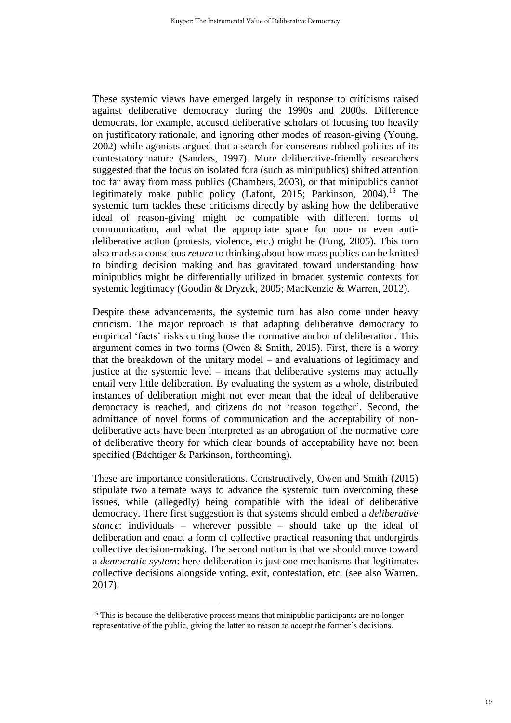These systemic views have emerged largely in response to criticisms raised against deliberative democracy during the 1990s and 2000s. Difference democrats, for example, accused deliberative scholars of focusing too heavily on justificatory rationale, and ignoring other modes of reason-giving (Young, 2002) while agonists argued that a search for consensus robbed politics of its contestatory nature (Sanders, 1997). More deliberative-friendly researchers suggested that the focus on isolated fora (such as minipublics) shifted attention too far away from mass publics (Chambers, 2003), or that minipublics cannot legitimately make public policy (Lafont, 2015; Parkinson, 2004). <sup>15</sup> The systemic turn tackles these criticisms directly by asking how the deliberative ideal of reason-giving might be compatible with different forms of communication, and what the appropriate space for non- or even antideliberative action (protests, violence, etc.) might be (Fung, 2005). This turn also marks a conscious *return* to thinking about how mass publics can be knitted to binding decision making and has gravitated toward understanding how minipublics might be differentially utilized in broader systemic contexts for systemic legitimacy (Goodin & Dryzek, 2005; MacKenzie & Warren, 2012).

Despite these advancements, the systemic turn has also come under heavy criticism. The major reproach is that adapting deliberative democracy to empirical 'facts' risks cutting loose the normative anchor of deliberation. This argument comes in two forms (Owen & Smith, 2015). First, there is a worry that the breakdown of the unitary model – and evaluations of legitimacy and justice at the systemic level – means that deliberative systems may actually entail very little deliberation. By evaluating the system as a whole, distributed instances of deliberation might not ever mean that the ideal of deliberative democracy is reached, and citizens do not 'reason together'. Second, the admittance of novel forms of communication and the acceptability of nondeliberative acts have been interpreted as an abrogation of the normative core of deliberative theory for which clear bounds of acceptability have not been specified (Bächtiger & Parkinson, forthcoming).

These are importance considerations. Constructively, Owen and Smith (2015) stipulate two alternate ways to advance the systemic turn overcoming these issues, while (allegedly) being compatible with the ideal of deliberative democracy. There first suggestion is that systems should embed a *deliberative stance*: individuals – wherever possible – should take up the ideal of deliberation and enact a form of collective practical reasoning that undergirds collective decision-making. The second notion is that we should move toward a *democratic system*: here deliberation is just one mechanisms that legitimates collective decisions alongside voting, exit, contestation, etc. (see also Warren, 2017).

<sup>&</sup>lt;sup>15</sup> This is because the deliberative process means that minipublic participants are no longer representative of the public, giving the latter no reason to accept the former's decisions.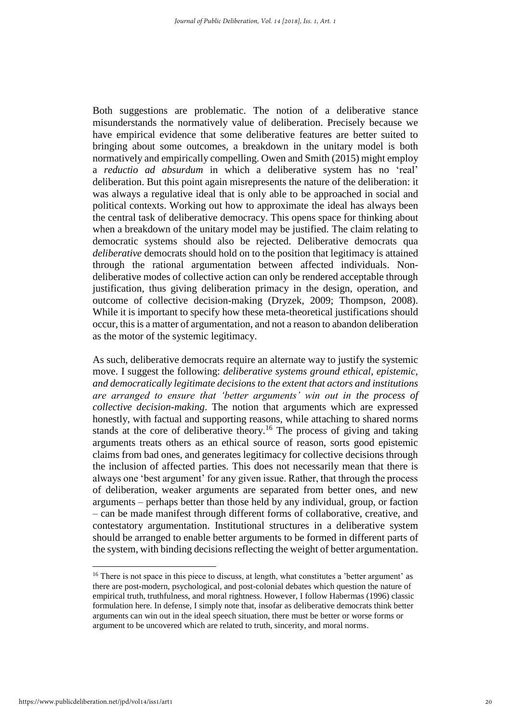Both suggestions are problematic. The notion of a deliberative stance misunderstands the normatively value of deliberation. Precisely because we have empirical evidence that some deliberative features are better suited to bringing about some outcomes, a breakdown in the unitary model is both normatively and empirically compelling. Owen and Smith (2015) might employ a *reductio ad absurdum* in which a deliberative system has no 'real' deliberation. But this point again misrepresents the nature of the deliberation: it was always a regulative ideal that is only able to be approached in social and political contexts. Working out how to approximate the ideal has always been the central task of deliberative democracy. This opens space for thinking about when a breakdown of the unitary model may be justified. The claim relating to democratic systems should also be rejected. Deliberative democrats qua *deliberative* democrats should hold on to the position that legitimacy is attained through the rational argumentation between affected individuals. Nondeliberative modes of collective action can only be rendered acceptable through justification, thus giving deliberation primacy in the design, operation, and outcome of collective decision-making (Dryzek, 2009; Thompson, 2008). While it is important to specify how these meta-theoretical justifications should occur, this is a matter of argumentation, and not a reason to abandon deliberation as the motor of the systemic legitimacy.

As such, deliberative democrats require an alternate way to justify the systemic move. I suggest the following: *deliberative systems ground ethical, epistemic, and democratically legitimate decisions to the extent that actors and institutions are arranged to ensure that 'better arguments' win out in the process of collective decision-making*. The notion that arguments which are expressed honestly, with factual and supporting reasons, while attaching to shared norms stands at the core of deliberative theory.<sup>16</sup> The process of giving and taking arguments treats others as an ethical source of reason, sorts good epistemic claims from bad ones, and generates legitimacy for collective decisions through the inclusion of affected parties. This does not necessarily mean that there is always one 'best argument' for any given issue. Rather, that through the process of deliberation, weaker arguments are separated from better ones, and new arguments – perhaps better than those held by any individual, group, or faction – can be made manifest through different forms of collaborative, creative, and contestatory argumentation. Institutional structures in a deliberative system should be arranged to enable better arguments to be formed in different parts of the system, with binding decisions reflecting the weight of better argumentation.

<sup>&</sup>lt;sup>16</sup> There is not space in this piece to discuss, at length, what constitutes a 'better argument' as there are post-modern, psychological, and post-colonial debates which question the nature of empirical truth, truthfulness, and moral rightness. However, I follow Habermas (1996) classic formulation here. In defense, I simply note that, insofar as deliberative democrats think better arguments can win out in the ideal speech situation, there must be better or worse forms or argument to be uncovered which are related to truth, sincerity, and moral norms.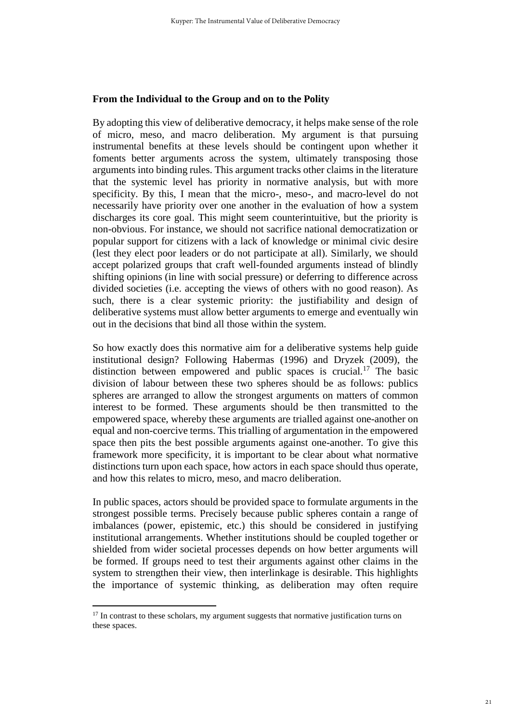#### **From the Individual to the Group and on to the Polity**

By adopting this view of deliberative democracy, it helps make sense of the role of micro, meso, and macro deliberation. My argument is that pursuing instrumental benefits at these levels should be contingent upon whether it foments better arguments across the system, ultimately transposing those arguments into binding rules. This argument tracks other claims in the literature that the systemic level has priority in normative analysis, but with more specificity. By this, I mean that the micro-, meso-, and macro-level do not necessarily have priority over one another in the evaluation of how a system discharges its core goal. This might seem counterintuitive, but the priority is non-obvious. For instance, we should not sacrifice national democratization or popular support for citizens with a lack of knowledge or minimal civic desire (lest they elect poor leaders or do not participate at all). Similarly, we should accept polarized groups that craft well-founded arguments instead of blindly shifting opinions (in line with social pressure) or deferring to difference across divided societies (i.e. accepting the views of others with no good reason). As such, there is a clear systemic priority: the justifiability and design of deliberative systems must allow better arguments to emerge and eventually win out in the decisions that bind all those within the system.

So how exactly does this normative aim for a deliberative systems help guide institutional design? Following Habermas (1996) and Dryzek (2009), the distinction between empowered and public spaces is crucial. <sup>17</sup> The basic division of labour between these two spheres should be as follows: publics spheres are arranged to allow the strongest arguments on matters of common interest to be formed. These arguments should be then transmitted to the empowered space, whereby these arguments are trialled against one-another on equal and non-coercive terms. This trialling of argumentation in the empowered space then pits the best possible arguments against one-another. To give this framework more specificity, it is important to be clear about what normative distinctions turn upon each space, how actors in each space should thus operate, and how this relates to micro, meso, and macro deliberation.

In public spaces, actors should be provided space to formulate arguments in the strongest possible terms. Precisely because public spheres contain a range of imbalances (power, epistemic, etc.) this should be considered in justifying institutional arrangements. Whether institutions should be coupled together or shielded from wider societal processes depends on how better arguments will be formed. If groups need to test their arguments against other claims in the system to strengthen their view, then interlinkage is desirable. This highlights the importance of systemic thinking, as deliberation may often require

<sup>&</sup>lt;sup>17</sup> In contrast to these scholars, my argument suggests that normative justification turns on these spaces.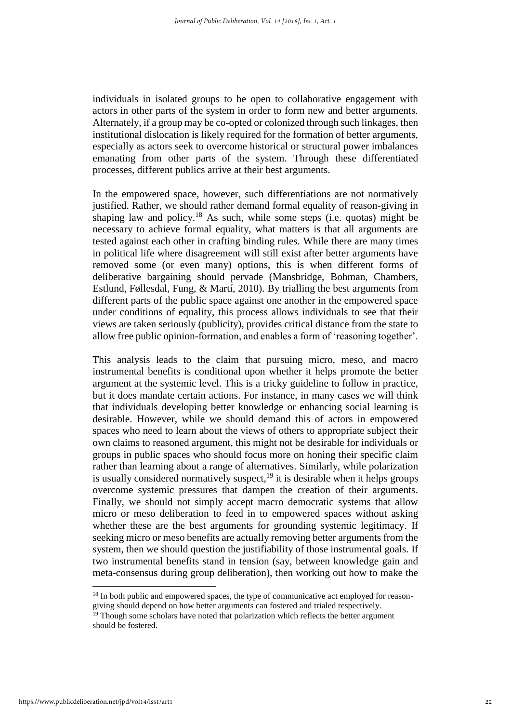individuals in isolated groups to be open to collaborative engagement with actors in other parts of the system in order to form new and better arguments. Alternately, if a group may be co-opted or colonized through such linkages, then institutional dislocation is likely required for the formation of better arguments, especially as actors seek to overcome historical or structural power imbalances emanating from other parts of the system. Through these differentiated processes, different publics arrive at their best arguments.

In the empowered space, however, such differentiations are not normatively justified. Rather, we should rather demand formal equality of reason-giving in shaping law and policy.<sup>18</sup> As such, while some steps (i.e. quotas) might be necessary to achieve formal equality, what matters is that all arguments are tested against each other in crafting binding rules. While there are many times in political life where disagreement will still exist after better arguments have removed some (or even many) options, this is when different forms of deliberative bargaining should pervade (Mansbridge, Bohman, Chambers, Estlund, Føllesdal, Fung, & Martí, 2010). By trialling the best arguments from different parts of the public space against one another in the empowered space under conditions of equality, this process allows individuals to see that their views are taken seriously (publicity), provides critical distance from the state to allow free public opinion-formation, and enables a form of 'reasoning together'.

This analysis leads to the claim that pursuing micro, meso, and macro instrumental benefits is conditional upon whether it helps promote the better argument at the systemic level. This is a tricky guideline to follow in practice, but it does mandate certain actions. For instance, in many cases we will think that individuals developing better knowledge or enhancing social learning is desirable. However, while we should demand this of actors in empowered spaces who need to learn about the views of others to appropriate subject their own claims to reasoned argument, this might not be desirable for individuals or groups in public spaces who should focus more on honing their specific claim rather than learning about a range of alternatives. Similarly, while polarization is usually considered normatively suspect, $19$  it is desirable when it helps groups overcome systemic pressures that dampen the creation of their arguments. Finally, we should not simply accept macro democratic systems that allow micro or meso deliberation to feed in to empowered spaces without asking whether these are the best arguments for grounding systemic legitimacy. If seeking micro or meso benefits are actually removing better arguments from the system, then we should question the justifiability of those instrumental goals. If two instrumental benefits stand in tension (say, between knowledge gain and meta-consensus during group deliberation), then working out how to make the

<sup>&</sup>lt;sup>18</sup> In both public and empowered spaces, the type of communicative act employed for reasongiving should depend on how better arguments can fostered and trialed respectively.

 $19$  Though some scholars have noted that polarization which reflects the better argument should be fostered.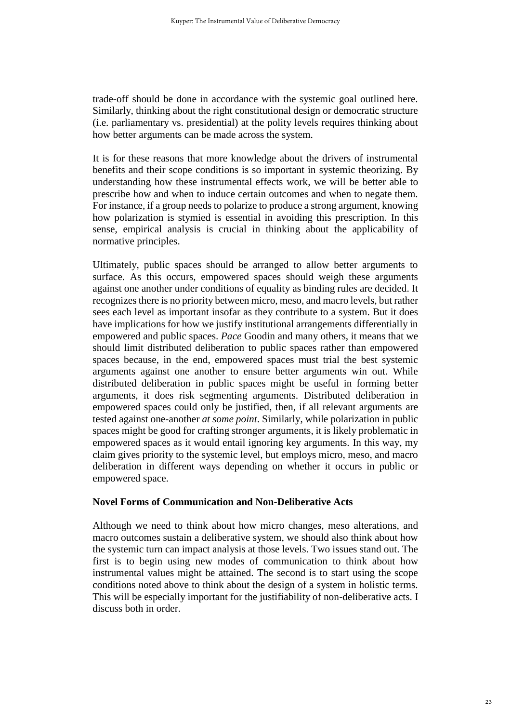trade-off should be done in accordance with the systemic goal outlined here. Similarly, thinking about the right constitutional design or democratic structure (i.e. parliamentary vs. presidential) at the polity levels requires thinking about how better arguments can be made across the system.

It is for these reasons that more knowledge about the drivers of instrumental benefits and their scope conditions is so important in systemic theorizing. By understanding how these instrumental effects work, we will be better able to prescribe how and when to induce certain outcomes and when to negate them. For instance, if a group needs to polarize to produce a strong argument, knowing how polarization is stymied is essential in avoiding this prescription. In this sense, empirical analysis is crucial in thinking about the applicability of normative principles.

Ultimately, public spaces should be arranged to allow better arguments to surface. As this occurs, empowered spaces should weigh these arguments against one another under conditions of equality as binding rules are decided. It recognizes there is no priority between micro, meso, and macro levels, but rather sees each level as important insofar as they contribute to a system. But it does have implications for how we justify institutional arrangements differentially in empowered and public spaces. *Pace* Goodin and many others, it means that we should limit distributed deliberation to public spaces rather than empowered spaces because, in the end, empowered spaces must trial the best systemic arguments against one another to ensure better arguments win out. While distributed deliberation in public spaces might be useful in forming better arguments, it does risk segmenting arguments. Distributed deliberation in empowered spaces could only be justified, then, if all relevant arguments are tested against one-another *at some point*. Similarly, while polarization in public spaces might be good for crafting stronger arguments, it is likely problematic in empowered spaces as it would entail ignoring key arguments. In this way, my claim gives priority to the systemic level, but employs micro, meso, and macro deliberation in different ways depending on whether it occurs in public or empowered space.

### **Novel Forms of Communication and Non-Deliberative Acts**

Although we need to think about how micro changes, meso alterations, and macro outcomes sustain a deliberative system, we should also think about how the systemic turn can impact analysis at those levels. Two issues stand out. The first is to begin using new modes of communication to think about how instrumental values might be attained. The second is to start using the scope conditions noted above to think about the design of a system in holistic terms. This will be especially important for the justifiability of non-deliberative acts. I discuss both in order.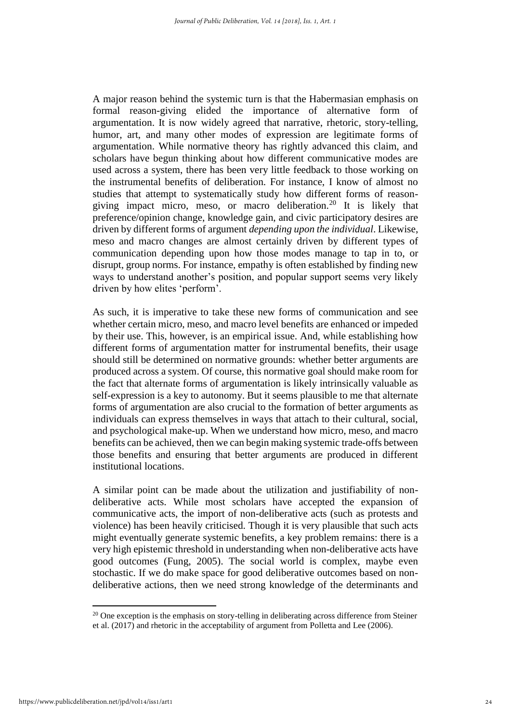A major reason behind the systemic turn is that the Habermasian emphasis on formal reason-giving elided the importance of alternative form of argumentation. It is now widely agreed that narrative, rhetoric, story-telling, humor, art, and many other modes of expression are legitimate forms of argumentation. While normative theory has rightly advanced this claim, and scholars have begun thinking about how different communicative modes are used across a system, there has been very little feedback to those working on the instrumental benefits of deliberation. For instance, I know of almost no studies that attempt to systematically study how different forms of reasongiving impact micro, meso, or macro deliberation.<sup>20</sup> It is likely that preference/opinion change, knowledge gain, and civic participatory desires are driven by different forms of argument *depending upon the individual*. Likewise, meso and macro changes are almost certainly driven by different types of communication depending upon how those modes manage to tap in to, or disrupt, group norms. For instance, empathy is often established by finding new ways to understand another's position, and popular support seems very likely driven by how elites 'perform'.

As such, it is imperative to take these new forms of communication and see whether certain micro, meso, and macro level benefits are enhanced or impeded by their use. This, however, is an empirical issue. And, while establishing how different forms of argumentation matter for instrumental benefits, their usage should still be determined on normative grounds: whether better arguments are produced across a system. Of course, this normative goal should make room for the fact that alternate forms of argumentation is likely intrinsically valuable as self-expression is a key to autonomy. But it seems plausible to me that alternate forms of argumentation are also crucial to the formation of better arguments as individuals can express themselves in ways that attach to their cultural, social, and psychological make-up. When we understand how micro, meso, and macro benefits can be achieved, then we can begin making systemic trade-offs between those benefits and ensuring that better arguments are produced in different institutional locations.

A similar point can be made about the utilization and justifiability of nondeliberative acts. While most scholars have accepted the expansion of communicative acts, the import of non-deliberative acts (such as protests and violence) has been heavily criticised. Though it is very plausible that such acts might eventually generate systemic benefits, a key problem remains: there is a very high epistemic threshold in understanding when non-deliberative acts have good outcomes (Fung, 2005). The social world is complex, maybe even stochastic. If we do make space for good deliberative outcomes based on nondeliberative actions, then we need strong knowledge of the determinants and

 $20$  One exception is the emphasis on story-telling in deliberating across difference from Steiner et al. (2017) and rhetoric in the acceptability of argument from Polletta and Lee (2006).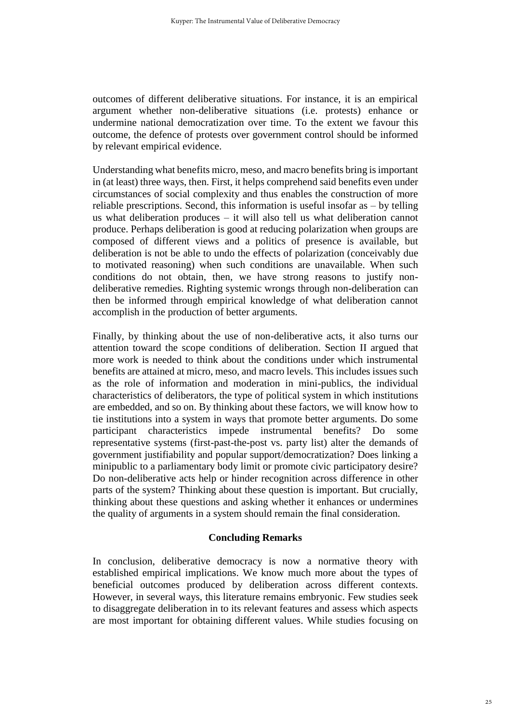outcomes of different deliberative situations. For instance, it is an empirical argument whether non-deliberative situations (i.e. protests) enhance or undermine national democratization over time. To the extent we favour this outcome, the defence of protests over government control should be informed by relevant empirical evidence.

Understanding what benefits micro, meso, and macro benefits bring is important in (at least) three ways, then. First, it helps comprehend said benefits even under circumstances of social complexity and thus enables the construction of more reliable prescriptions. Second, this information is useful insofar as – by telling us what deliberation produces – it will also tell us what deliberation cannot produce. Perhaps deliberation is good at reducing polarization when groups are composed of different views and a politics of presence is available, but deliberation is not be able to undo the effects of polarization (conceivably due to motivated reasoning) when such conditions are unavailable. When such conditions do not obtain, then, we have strong reasons to justify nondeliberative remedies. Righting systemic wrongs through non-deliberation can then be informed through empirical knowledge of what deliberation cannot accomplish in the production of better arguments.

Finally, by thinking about the use of non-deliberative acts, it also turns our attention toward the scope conditions of deliberation. Section II argued that more work is needed to think about the conditions under which instrumental benefits are attained at micro, meso, and macro levels. This includes issues such as the role of information and moderation in mini-publics, the individual characteristics of deliberators, the type of political system in which institutions are embedded, and so on. By thinking about these factors, we will know how to tie institutions into a system in ways that promote better arguments. Do some participant characteristics impede instrumental benefits? Do some representative systems (first-past-the-post vs. party list) alter the demands of government justifiability and popular support/democratization? Does linking a minipublic to a parliamentary body limit or promote civic participatory desire? Do non-deliberative acts help or hinder recognition across difference in other parts of the system? Thinking about these question is important. But crucially, thinking about these questions and asking whether it enhances or undermines the quality of arguments in a system should remain the final consideration.

### **Concluding Remarks**

In conclusion, deliberative democracy is now a normative theory with established empirical implications. We know much more about the types of beneficial outcomes produced by deliberation across different contexts. However, in several ways, this literature remains embryonic. Few studies seek to disaggregate deliberation in to its relevant features and assess which aspects are most important for obtaining different values. While studies focusing on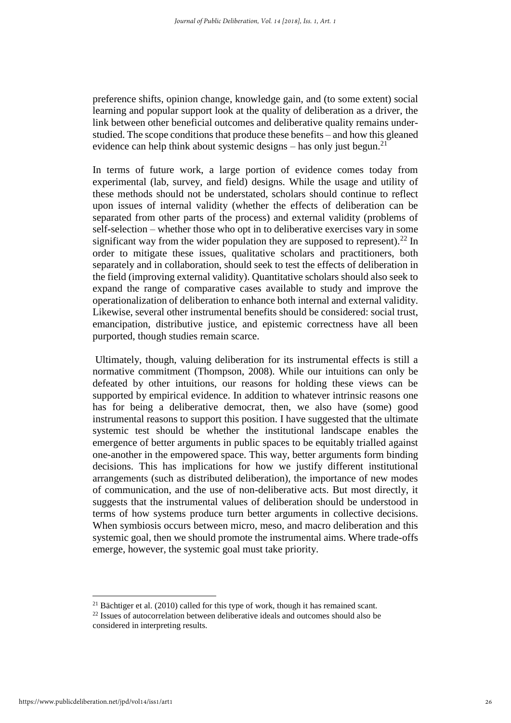preference shifts, opinion change, knowledge gain, and (to some extent) social learning and popular support look at the quality of deliberation as a driver, the link between other beneficial outcomes and deliberative quality remains understudied. The scope conditions that produce these benefits – and how this gleaned evidence can help think about systemic designs – has only just begun.<sup>21</sup>

In terms of future work, a large portion of evidence comes today from experimental (lab, survey, and field) designs. While the usage and utility of these methods should not be understated, scholars should continue to reflect upon issues of internal validity (whether the effects of deliberation can be separated from other parts of the process) and external validity (problems of self-selection – whether those who opt in to deliberative exercises vary in some significant way from the wider population they are supposed to represent).<sup>22</sup> In order to mitigate these issues, qualitative scholars and practitioners, both separately and in collaboration, should seek to test the effects of deliberation in the field (improving external validity). Quantitative scholars should also seek to expand the range of comparative cases available to study and improve the operationalization of deliberation to enhance both internal and external validity. Likewise, several other instrumental benefits should be considered: social trust, emancipation, distributive justice, and epistemic correctness have all been purported, though studies remain scarce.

Ultimately, though, valuing deliberation for its instrumental effects is still a normative commitment (Thompson, 2008). While our intuitions can only be defeated by other intuitions, our reasons for holding these views can be supported by empirical evidence. In addition to whatever intrinsic reasons one has for being a deliberative democrat, then, we also have (some) good instrumental reasons to support this position. I have suggested that the ultimate systemic test should be whether the institutional landscape enables the emergence of better arguments in public spaces to be equitably trialled against one-another in the empowered space. This way, better arguments form binding decisions. This has implications for how we justify different institutional arrangements (such as distributed deliberation), the importance of new modes of communication, and the use of non-deliberative acts. But most directly, it suggests that the instrumental values of deliberation should be understood in terms of how systems produce turn better arguments in collective decisions. When symbiosis occurs between micro, meso, and macro deliberation and this systemic goal, then we should promote the instrumental aims. Where trade-offs emerge, however, the systemic goal must take priority.

 $\overline{\phantom{a}}$ 

 $21$  Bächtiger et al. (2010) called for this type of work, though it has remained scant.

 $22$  Issues of autocorrelation between deliberative ideals and outcomes should also be considered in interpreting results.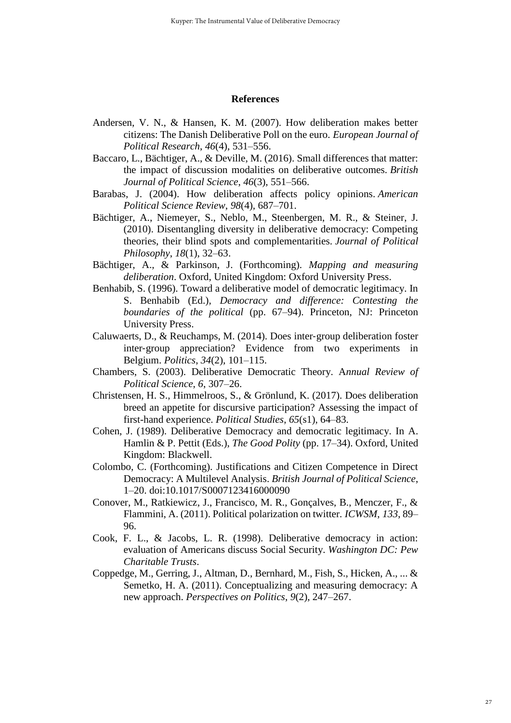#### **References**

- Andersen, V. N., & Hansen, K. M. (2007). How deliberation makes better citizens: The Danish Deliberative Poll on the euro. *European Journal of Political Research*, *46*(4), 531–556.
- Baccaro, L., Bächtiger, A., & Deville, M. (2016). Small differences that matter: the impact of discussion modalities on deliberative outcomes. *British Journal of Political Science*, *46*(3), 551–566.
- Barabas, J. (2004). How deliberation affects policy opinions. *American Political Science Review*, *98*(4), 687–701.
- Bächtiger, A., Niemeyer, S., Neblo, M., Steenbergen, M. R., & Steiner, J. (2010). Disentangling diversity in deliberative democracy: Competing theories, their blind spots and complementarities. *Journal of Political Philosophy*, *18*(1), 32–63.
- Bächtiger, A., & Parkinson, J. (Forthcoming). *Mapping and measuring deliberation*. Oxford, United Kingdom: Oxford University Press.
- Benhabib, S. (1996). Toward a deliberative model of democratic legitimacy. In S. Benhabib (Ed.), *Democracy and difference: Contesting the boundaries of the political* (pp. 67–94). Princeton, NJ: Princeton University Press.
- Caluwaerts, D., & Reuchamps, M. (2014). Does inter‐group deliberation foster inter‐group appreciation? Evidence from two experiments in Belgium. *Politics*, *34*(2), 101–115.
- Chambers, S. (2003). Deliberative Democratic Theory. A*nnual Review of Political Science*, *6*, 307–26.
- Christensen, H. S., Himmelroos, S., & Grönlund, K. (2017). Does deliberation breed an appetite for discursive participation? Assessing the impact of first-hand experience. *Political Studies*, *65*(s1), 64–83.
- Cohen, J. (1989). Deliberative Democracy and democratic legitimacy. In A. Hamlin & P. Pettit (Eds.), *The Good Polity* (pp. 17–34). Oxford, United Kingdom: Blackwell.
- Colombo, C. (Forthcoming). Justifications and Citizen Competence in Direct Democracy: A Multilevel Analysis. *British Journal of Political Science*, 1–20. doi:10.1017/S0007123416000090
- Conover, M., Ratkiewicz, J., Francisco, M. R., Gonçalves, B., Menczer, F., & Flammini, A. (2011). Political polarization on twitter. *ICWSM*, *133*, 89– 96.
- Cook, F. L., & Jacobs, L. R. (1998). Deliberative democracy in action: evaluation of Americans discuss Social Security. *Washington DC: Pew Charitable Trusts*.
- Coppedge, M., Gerring, J., Altman, D., Bernhard, M., Fish, S., Hicken, A., ... & Semetko, H. A. (2011). Conceptualizing and measuring democracy: A new approach. *Perspectives on Politics*, *9*(2), 247–267.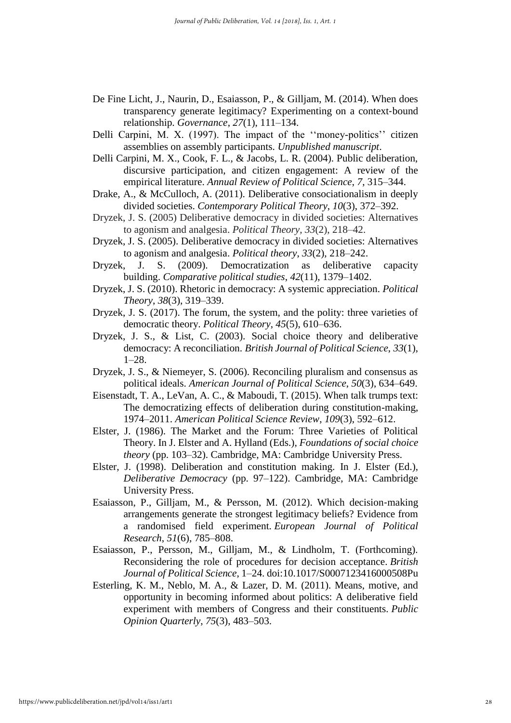- De Fine Licht, J., Naurin, D., Esaiasson, P., & Gilljam, M. (2014). When does transparency generate legitimacy? Experimenting on a context-bound relationship. *Governance*, *27*(1), 111–134.
- Delli Carpini, M. X. (1997). The impact of the ''money-politics'' citizen assemblies on assembly participants. *Unpublished manuscript*.
- Delli Carpini, M. X., Cook, F. L., & Jacobs, L. R. (2004). Public deliberation, discursive participation, and citizen engagement: A review of the empirical literature. *Annual Review of Political Science*, *7*, 315–344.
- Drake, A., & McCulloch, A. (2011). Deliberative consociationalism in deeply divided societies. *Contemporary Political Theory*, *10*(3), 372–392.
- Dryzek, J. S. (2005) Deliberative democracy in divided societies: Alternatives to agonism and analgesia. *Political Theory, 33*(2), 218–42.
- Dryzek, J. S. (2005). Deliberative democracy in divided societies: Alternatives to agonism and analgesia. *Political theory*, *33*(2), 218–242.
- Dryzek, J. S. (2009). Democratization as deliberative capacity building. *Comparative political studies*, *42*(11), 1379–1402.
- Dryzek, J. S. (2010). Rhetoric in democracy: A systemic appreciation. *Political Theory*, *38*(3), 319–339.
- Dryzek, J. S. (2017). The forum, the system, and the polity: three varieties of democratic theory. *Political Theory*, *45*(5), 610–636.
- Dryzek, J. S., & List, C. (2003). Social choice theory and deliberative democracy: A reconciliation. *British Journal of Political Science*, *33*(1), 1–28.
- Dryzek, J. S., & Niemeyer, S. (2006). Reconciling pluralism and consensus as political ideals. *American Journal of Political Science*, *50*(3), 634–649.
- Eisenstadt, T. A., LeVan, A. C., & Maboudi, T. (2015). When talk trumps text: The democratizing effects of deliberation during constitution-making, 1974–2011. *American Political Science Review*, *109*(3), 592–612.
- Elster, J. (1986). The Market and the Forum: Three Varieties of Political Theory. In J. Elster and A. Hylland (Eds.), *Foundations of social choice theory* (pp. 103–32). Cambridge, MA: Cambridge University Press.
- Elster, J. (1998). Deliberation and constitution making. In J. Elster (Ed.), *Deliberative Democracy* (pp. 97–122). Cambridge, MA: Cambridge University Press.
- Esaiasson, P., Gilljam, M., & Persson, M. (2012). Which decision‐making arrangements generate the strongest legitimacy beliefs? Evidence from a randomised field experiment. *European Journal of Political Research*, *51*(6), 785–808.
- Esaiasson, P., Persson, M., Gilljam, M., & Lindholm, T. (Forthcoming). Reconsidering the role of procedures for decision acceptance. *British Journal of Political Science*, 1–24. doi:10.1017/S0007123416000508Pu
- Esterling, K. M., Neblo, M. A., & Lazer, D. M. (2011). Means, motive, and opportunity in becoming informed about politics: A deliberative field experiment with members of Congress and their constituents. *Public Opinion Quarterly*, *75*(3), 483–503.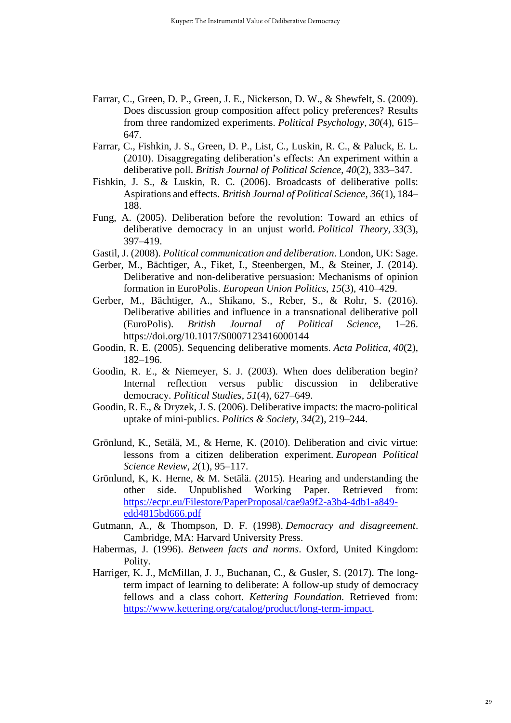- Farrar, C., Green, D. P., Green, J. E., Nickerson, D. W., & Shewfelt, S. (2009). Does discussion group composition affect policy preferences? Results from three randomized experiments. *Political Psychology*, *30*(4), 615– 647.
- Farrar, C., Fishkin, J. S., Green, D. P., List, C., Luskin, R. C., & Paluck, E. L. (2010). Disaggregating deliberation's effects: An experiment within a deliberative poll. *British Journal of Political Science*, *40*(2), 333–347.
- Fishkin, J. S., & Luskin, R. C. (2006). Broadcasts of deliberative polls: Aspirations and effects. *British Journal of Political Science*, *36*(1), 184– 188.
- Fung, A. (2005). Deliberation before the revolution: Toward an ethics of deliberative democracy in an unjust world. *Political Theory*, *33*(3), 397–419.
- Gastil, J. (2008). *Political communication and deliberation*. London, UK: Sage.
- Gerber, M., Bächtiger, A., Fiket, I., Steenbergen, M., & Steiner, J. (2014). Deliberative and non-deliberative persuasion: Mechanisms of opinion formation in EuroPolis. *European Union Politics*, *15*(3), 410–429.
- Gerber, M., Bächtiger, A., Shikano, S., Reber, S., & Rohr, S. (2016). Deliberative abilities and influence in a transnational deliberative poll (EuroPolis). *British Journal of Political Science*, 1–26. https://doi.org/10.1017/S0007123416000144
- Goodin, R. E. (2005). Sequencing deliberative moments. *Acta Politica*, *40*(2), 182–196.
- Goodin, R. E., & Niemeyer, S. J. (2003). When does deliberation begin? Internal reflection versus public discussion in deliberative democracy. *Political Studies*, *51*(4), 627–649.
- Goodin, R. E., & Dryzek, J. S. (2006). Deliberative impacts: the macro-political uptake of mini-publics. *Politics & Society*, *34*(2), 219–244.
- Grönlund, K., Setälä, M., & Herne, K. (2010). Deliberation and civic virtue: lessons from a citizen deliberation experiment. *European Political Science Review*, *2*(1), 95–117.
- Grönlund, K, K. Herne, & M. Setälä. (2015). Hearing and understanding the other side. Unpublished Working Paper. Retrieved from: [https://ecpr.eu/Filestore/PaperProposal/cae9a9f2-a3b4-4db1-a849](https://ecpr.eu/Filestore/PaperProposal/cae9a9f2-a3b4-4db1-a849-edd4815bd666.pdf) [edd4815bd666.pdf](https://ecpr.eu/Filestore/PaperProposal/cae9a9f2-a3b4-4db1-a849-edd4815bd666.pdf)
- Gutmann, A., & Thompson, D. F. (1998). *Democracy and disagreement*. Cambridge, MA: Harvard University Press.
- Habermas, J. (1996). *Between facts and norms*. Oxford, United Kingdom: Polity.
- Harriger, K. J., McMillan, J. J., Buchanan, C., & Gusler, S. (2017). The longterm impact of learning to deliberate: A follow-up study of democracy fellows and a class cohort. *Kettering Foundation.* Retrieved from: [https://www.kettering.org/catalog/product/long-term-impact.](https://www.kettering.org/catalog/product/long-term-impact)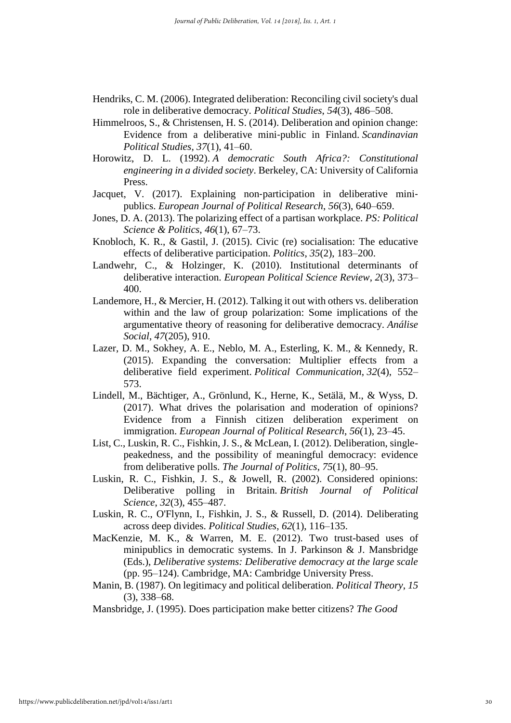- Hendriks, C. M. (2006). Integrated deliberation: Reconciling civil society's dual role in deliberative democracy. *Political Studies*, *54*(3), 486–508.
- Himmelroos, S., & Christensen, H. S. (2014). Deliberation and opinion change: Evidence from a deliberative mini‐public in Finland. *Scandinavian Political Studies*, *37*(1), 41–60.
- Horowitz, D. L. (1992). *A democratic South Africa?: Constitutional engineering in a divided society*. Berkeley, CA: University of California Press.
- Jacquet, V. (2017). Explaining non-participation in deliberative minipublics. *European Journal of Political Research*, *56*(3), 640–659.
- Jones, D. A. (2013). The polarizing effect of a partisan workplace. *PS: Political Science & Politics*, *46*(1), 67–73.
- Knobloch, K. R., & Gastil, J. (2015). Civic (re) socialisation: The educative effects of deliberative participation. *Politics*, *35*(2), 183–200.
- Landwehr, C., & Holzinger, K. (2010). Institutional determinants of deliberative interaction. *European Political Science Review*, *2*(3), 373– 400.
- Landemore, H., & Mercier, H. (2012). Talking it out with others vs. deliberation within and the law of group polarization: Some implications of the argumentative theory of reasoning for deliberative democracy. *Análise Social*, *47*(205), 910.
- Lazer, D. M., Sokhey, A. E., Neblo, M. A., Esterling, K. M., & Kennedy, R. (2015). Expanding the conversation: Multiplier effects from a deliberative field experiment. *Political Communication*, *32*(4), 552– 573.
- Lindell, M., Bächtiger, A., Grönlund, K., Herne, K., Setälä, M., & Wyss, D. (2017). What drives the polarisation and moderation of opinions? Evidence from a Finnish citizen deliberation experiment on immigration. *European Journal of Political Research*, *56*(1), 23–45.
- List, C., Luskin, R. C., Fishkin, J. S., & McLean, I. (2012). Deliberation, singlepeakedness, and the possibility of meaningful democracy: evidence from deliberative polls. *The Journal of Politics*, *75*(1), 80–95.
- Luskin, R. C., Fishkin, J. S., & Jowell, R. (2002). Considered opinions: Deliberative polling in Britain. *British Journal of Political Science*, *32*(3), 455–487.
- Luskin, R. C., O'Flynn, I., Fishkin, J. S., & Russell, D. (2014). Deliberating across deep divides. *Political Studies*, *62*(1), 116–135.
- MacKenzie, M. K., & Warren, M. E. (2012). Two trust-based uses of minipublics in democratic systems. In J. Parkinson & J. Mansbridge (Eds.), *Deliberative systems: Deliberative democracy at the large scale* (pp. 95–124). Cambridge, MA: Cambridge University Press.
- Manin, B. (1987). On legitimacy and political deliberation. *Political Theory*, *15* (3), 338–68.
- Mansbridge, J. (1995). Does participation make better citizens? *The Good*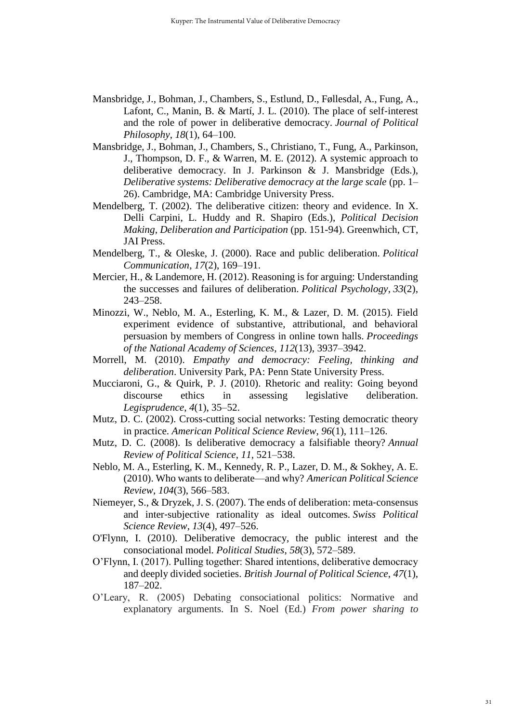- Mansbridge, J., Bohman, J., Chambers, S., Estlund, D., Føllesdal, A., Fung, A., Lafont, C., Manin, B. & Martí, J. L. (2010). The place of self‐interest and the role of power in deliberative democracy. *Journal of Political Philosophy*, *18*(1), 64–100.
- Mansbridge, J., Bohman, J., Chambers, S., Christiano, T., Fung, A., Parkinson, J., Thompson, D. F., & Warren, M. E*.* (2012). A systemic approach to deliberative democracy. In J. Parkinson & J. Mansbridge (Eds.), *Deliberative systems: Deliberative democracy at the large scale* (pp. 1– 26). Cambridge, MA: Cambridge University Press.
- Mendelberg, T. (2002). The deliberative citizen: theory and evidence. In X. Delli Carpini, L. Huddy and R. Shapiro (Eds.), *Political Decision Making, Deliberation and Participation* (pp. 151-94). Greenwhich, CT, JAI Press.
- Mendelberg, T., & Oleske, J. (2000). Race and public deliberation. *Political Communication*, *17*(2), 169–191.
- Mercier, H., & Landemore, H. (2012). Reasoning is for arguing: Understanding the successes and failures of deliberation. *Political Psychology*, *33*(2), 243–258.
- Minozzi, W., Neblo, M. A., Esterling, K. M., & Lazer, D. M. (2015). Field experiment evidence of substantive, attributional, and behavioral persuasion by members of Congress in online town halls. *Proceedings of the National Academy of Sciences*, *112*(13), 3937–3942.
- Morrell, M. (2010). *Empathy and democracy: Feeling, thinking and deliberation*. University Park, PA: Penn State University Press.
- Mucciaroni, G., & Quirk, P. J. (2010). Rhetoric and reality: Going beyond discourse ethics in assessing legislative deliberation. *Legisprudence*, *4*(1), 35–52.
- Mutz, D. C. (2002). Cross-cutting social networks: Testing democratic theory in practice. *American Political Science Review*, *96*(1), 111–126.
- Mutz, D. C. (2008). Is deliberative democracy a falsifiable theory? *Annual Review of Political Science*, *11*, 521–538.
- Neblo, M. A., Esterling, K. M., Kennedy, R. P., Lazer, D. M., & Sokhey, A. E. (2010). Who wants to deliberate—and why? *American Political Science Review*, *104*(3), 566–583.
- Niemeyer, S., & Dryzek, J. S. (2007). The ends of deliberation: meta-consensus and inter‐subjective rationality as ideal outcomes. *Swiss Political Science Review*, *13*(4), 497–526.
- O'Flynn, I. (2010). Deliberative democracy, the public interest and the consociational model. *Political Studies*, *58*(3), 572–589.
- O'Flynn, I. (2017). Pulling together: Shared intentions, deliberative democracy and deeply divided societies. *British Journal of Political Science*, *47*(1), 187–202.
- O'Leary, R. (2005) Debating consociational politics: Normative and explanatory arguments. In S. Noel (Ed.) *From power sharing to*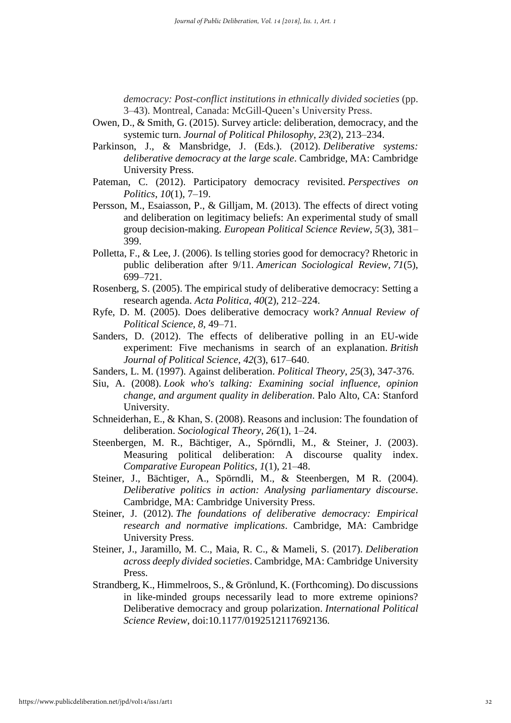*democracy: Post-conflict institutions in ethnically divided societies* (pp. 3–43). Montreal, Canada: McGill-Queen's University Press.

- Owen, D., & Smith, G. (2015). Survey article: deliberation, democracy, and the systemic turn. *Journal of Political Philosophy*, *23*(2), 213–234.
- Parkinson, J., & Mansbridge, J. (Eds.). (2012). *Deliberative systems: deliberative democracy at the large scale*. Cambridge, MA: Cambridge University Press.
- Pateman, C. (2012). Participatory democracy revisited. *Perspectives on Politics*, *10*(1), 7–19.
- Persson, M., Esaiasson, P., & Gilljam, M. (2013). The effects of direct voting and deliberation on legitimacy beliefs: An experimental study of small group decision-making. *European Political Science Review*, *5*(3), 381– 399.
- Polletta, F., & Lee, J. (2006). Is telling stories good for democracy? Rhetoric in public deliberation after 9/11. *American Sociological Review*, *71*(5), 699–721.
- Rosenberg, S. (2005). The empirical study of deliberative democracy: Setting a research agenda. *Acta Politica*, *40*(2), 212–224.
- Ryfe, D. M. (2005). Does deliberative democracy work? *Annual Review of Political Science*, *8*, 49–71.
- Sanders, D. (2012). The effects of deliberative polling in an EU-wide experiment: Five mechanisms in search of an explanation. *British Journal of Political Science*, *42*(3), 617–640.
- Sanders, L. M. (1997). Against deliberation. *Political Theory*, *25*(3), 347-376.
- Siu, A. (2008). *Look who's talking: Examining social influence, opinion change, and argument quality in deliberation*. Palo Alto, CA: Stanford University.
- Schneiderhan, E., & Khan, S. (2008). Reasons and inclusion: The foundation of deliberation. *Sociological Theory*, *26*(1), 1–24.
- Steenbergen, M. R., Bächtiger, A., Spörndli, M., & Steiner, J. (2003). Measuring political deliberation: A discourse quality index. *Comparative European Politics*, *1*(1), 21–48.
- Steiner, J., Bächtiger, A., Spörndli, M., & Steenbergen, M R. (2004). *Deliberative politics in action: Analysing parliamentary discourse*. Cambridge, MA: Cambridge University Press.
- Steiner, J. (2012). *The foundations of deliberative democracy: Empirical research and normative implications*. Cambridge, MA: Cambridge University Press.
- Steiner, J., Jaramillo, M. C., Maia, R. C., & Mameli, S. (2017). *Deliberation across deeply divided societies*. Cambridge, MA: Cambridge University Press.
- Strandberg, K., Himmelroos, S., & Grönlund, K. (Forthcoming). Do discussions in like-minded groups necessarily lead to more extreme opinions? Deliberative democracy and group polarization. *International Political Science Review*, doi:10.1177/0192512117692136.